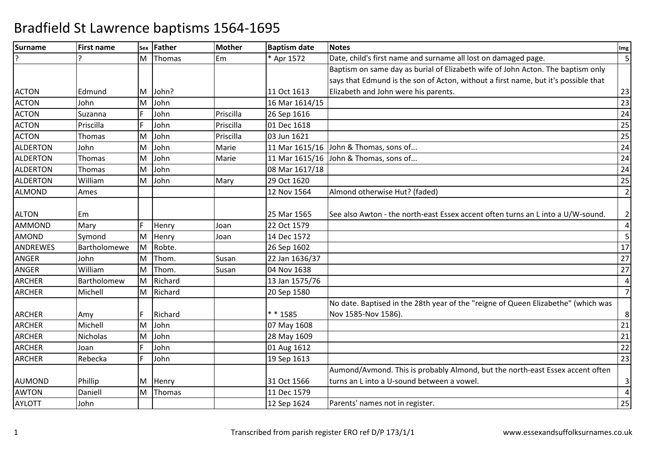| <b>Surname</b>  | <b>First name</b> | Sex | Father  | <b>Mother</b> | <b>Baptism date</b> | <b>Notes</b>                                                                       | Img            |
|-----------------|-------------------|-----|---------|---------------|---------------------|------------------------------------------------------------------------------------|----------------|
|                 |                   | M   | Thomas  | Em            | * Apr 1572          | Date, child's first name and surname all lost on damaged page.                     | 5              |
|                 |                   |     |         |               |                     | Baptism on same day as burial of Elizabeth wife of John Acton. The baptism only    |                |
|                 |                   |     |         |               |                     | says that Edmund is the son of Acton, without a first name, but it's possible that |                |
| <b>ACTON</b>    | Edmund            | M   | John?   |               | 11 Oct 1613         | Elizabeth and John were his parents.                                               | 23             |
| <b>ACTON</b>    | John              | ΙM  | John    |               | 16 Mar 1614/15      |                                                                                    | 23             |
| <b>ACTON</b>    | Suzanna           | E   | John    | Priscilla     | 26 Sep 1616         |                                                                                    | 24             |
| <b>ACTON</b>    | Priscilla         | E   | John    | Priscilla     | 01 Dec 1618         |                                                                                    | 25             |
| <b>ACTON</b>    | Thomas            | M   | John    | Priscilla     | 03 Jun 1621         |                                                                                    | 25             |
| <b>ALDERTON</b> | John              | M   | John    | Marie         |                     | 11 Mar 1615/16 John & Thomas, sons of                                              | 24             |
| <b>ALDERTON</b> | Thomas            | M   | John    | Marie         |                     | 11 Mar 1615/16 John & Thomas, sons of                                              | 24             |
| <b>ALDERTON</b> | Thomas            | M   | John    |               | 08 Mar 1617/18      |                                                                                    | 24             |
| <b>ALDERTON</b> | William           | M   | John    | Mary          | 29 Oct 1620         |                                                                                    | 25             |
| <b>ALMOND</b>   | Ames              |     |         |               | 12 Nov 1564         | Almond otherwise Hut? (faded)                                                      | $\overline{2}$ |
|                 |                   |     |         |               |                     |                                                                                    |                |
| <b>ALTON</b>    | Em                |     |         |               | 25 Mar 1565         | See also Awton - the north-east Essex accent often turns an L into a U/W-sound.    | $\overline{2}$ |
| <b>AMMOND</b>   | Mary              |     | Henry   | Joan          | 22 Oct 1579         |                                                                                    | $\overline{4}$ |
| <b>AMOND</b>    | Symond            | M   | Henry   | Joan          | 14 Dec 1572         |                                                                                    | 5              |
| ANDREWES        | Bartholomewe      | M   | Robte.  |               | 26 Sep 1602         |                                                                                    | 17             |
| <b>ANGER</b>    | John              | M   | Thom.   | Susan         | 22 Jan 1636/37      |                                                                                    | 27             |
| <b>ANGER</b>    | William           | M   | Thom.   | Susan         | 04 Nov 1638         |                                                                                    | 27             |
| <b>ARCHER</b>   | Bartholomew       | lM. | Richard |               | 13 Jan 1575/76      |                                                                                    | $\overline{4}$ |
| <b>ARCHER</b>   | Michell           | M   | Richard |               | 20 Sep 1580         |                                                                                    | $\overline{7}$ |
|                 |                   |     |         |               |                     | No date. Baptised in the 28th year of the "reigne of Queen Elizabethe" (which was  |                |
| <b>ARCHER</b>   | Amy               |     | Richard |               | * * 1585            | Nov 1585-Nov 1586).                                                                | 8              |
| <b>ARCHER</b>   | Michell           | M   | John    |               | 07 May 1608         |                                                                                    | 21             |
| <b>ARCHER</b>   | Nicholas          | M   | John    |               | 28 May 1609         |                                                                                    | 21             |
| <b>ARCHER</b>   | Joan              |     | John    |               | 01 Aug 1612         |                                                                                    | 22             |
| <b>ARCHER</b>   | Rebecka           | F   | John    |               | 19 Sep 1613         |                                                                                    | 23             |
|                 |                   |     |         |               |                     | Aumond/Avmond. This is probably Almond, but the north-east Essex accent often      |                |
| <b>AUMOND</b>   | Phillip           | M   | Henry   |               | 31 Oct 1566         | turns an L into a U-sound between a vowel.                                         | $\mathbf{3}$   |
| <b>AWTON</b>    | Daniell           | M   | Thomas  |               | 11 Dec 1579         |                                                                                    | $\overline{4}$ |
| <b>AYLOTT</b>   | John              |     |         |               | 12 Sep 1624         | Parents' names not in register.                                                    | 25             |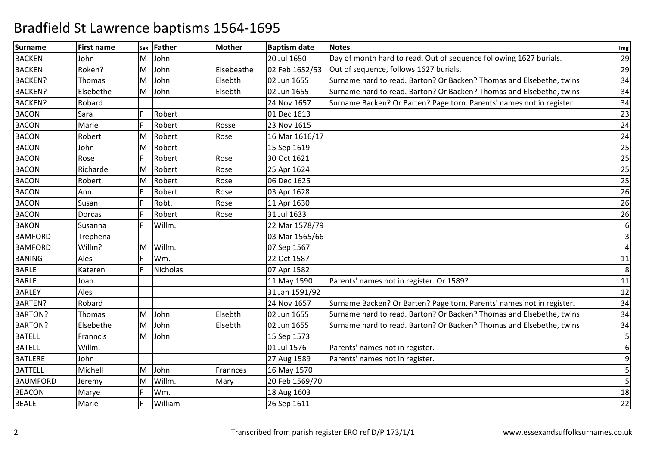| <b>Surname</b>  | <b>First name</b> |    | sex Father      | <b>Mother</b> | <b>Baptism date</b> | <b>Notes</b>                                                          | Img            |
|-----------------|-------------------|----|-----------------|---------------|---------------------|-----------------------------------------------------------------------|----------------|
| <b>BACKEN</b>   | John              | M  | John            |               | 20 Jul 1650         | Day of month hard to read. Out of sequence following 1627 burials.    | 29             |
| <b>BACKEN</b>   | Roken?            | M  | John            | Elsebeathe    | 02 Feb 1652/53      | Out of sequence, follows 1627 burials.                                | 29             |
| <b>BACKEN?</b>  | Thomas            | M  | John            | Elsebth       | 02 Jun 1655         | Surname hard to read. Barton? Or Backen? Thomas and Elsebethe, twins  | 34             |
| <b>BACKEN?</b>  | Elsebethe         | M  | John            | Elsebth       | 02 Jun 1655         | Surname hard to read. Barton? Or Backen? Thomas and Elsebethe, twins  | 34             |
| <b>BACKEN?</b>  | Robard            |    |                 |               | 24 Nov 1657         | Surname Backen? Or Barten? Page torn. Parents' names not in register. | 34             |
| <b>BACON</b>    | Sara              | F  | Robert          |               | 01 Dec 1613         |                                                                       | 23             |
| <b>BACON</b>    | Marie             | F  | Robert          | Rosse         | 23 Nov 1615         |                                                                       | 24             |
| <b>BACON</b>    | Robert            | M  | Robert          | Rose          | 16 Mar 1616/17      |                                                                       | 24             |
| <b>BACON</b>    | John              | M  | Robert          |               | 15 Sep 1619         |                                                                       | 25             |
| <b>BACON</b>    | Rose              | F  | Robert          | Rose          | 30 Oct 1621         |                                                                       | 25             |
| <b>BACON</b>    | Richarde          | M  | Robert          | Rose          | 25 Apr 1624         |                                                                       | 25             |
| <b>BACON</b>    | Robert            | M  | Robert          | Rose          | 06 Dec 1625         |                                                                       | 25             |
| <b>BACON</b>    | Ann               |    | Robert          | Rose          | 03 Apr 1628         |                                                                       | 26             |
| <b>BACON</b>    | Susan             | F  | Robt.           | Rose          | 11 Apr 1630         |                                                                       | 26             |
| <b>BACON</b>    | Dorcas            | F  | Robert          | Rose          | 31 Jul 1633         |                                                                       | 26             |
| <b>BAKON</b>    | Susanna           |    | Willm.          |               | 22 Mar 1578/79      |                                                                       | 6              |
| <b>BAMFORD</b>  | Trephena          |    |                 |               | 03 Mar 1565/66      |                                                                       | $\overline{3}$ |
| <b>BAMFORD</b>  | Willm?            | İΜ | Willm.          |               | 07 Sep 1567         |                                                                       | $\overline{4}$ |
| <b>BANING</b>   | Ales              | F  | Wm.             |               | 22 Oct 1587         |                                                                       | 11             |
| <b>BARLE</b>    | Kateren           |    | <b>Nicholas</b> |               | 07 Apr 1582         |                                                                       | 8              |
| <b>BARLE</b>    | Joan              |    |                 |               | 11 May 1590         | Parents' names not in register. Or 1589?                              | 11             |
| <b>BARLEY</b>   | Ales              |    |                 |               | 31 Jan 1591/92      |                                                                       | 12             |
| <b>BARTEN?</b>  | Robard            |    |                 |               | 24 Nov 1657         | Surname Backen? Or Barten? Page torn. Parents' names not in register. | 34             |
| <b>BARTON?</b>  | <b>Thomas</b>     | м  | John            | Elsebth       | 02 Jun 1655         | Surname hard to read. Barton? Or Backen? Thomas and Elsebethe, twins  | 34             |
| <b>BARTON?</b>  | Elsebethe         | ΙM | John            | Elsebth       | 02 Jun 1655         | Surname hard to read. Barton? Or Backen? Thomas and Elsebethe, twins  | 34             |
| <b>BATELL</b>   | Franncis          | M  | John            |               | 15 Sep 1573         |                                                                       | 5              |
| <b>BATELL</b>   | Willm.            |    |                 |               | 01 Jul 1576         | Parents' names not in register.                                       | 6              |
| <b>BATLERE</b>  | John              |    |                 |               | 27 Aug 1589         | Parents' names not in register.                                       | 9              |
| <b>BATTELL</b>  | Michell           | M  | John            | Frannces      | 16 May 1570         |                                                                       | 5              |
| <b>BAUMFORD</b> | Jeremy            | M  | Willm.          | Mary          | 20 Feb 1569/70      |                                                                       | 5              |
| <b>BEACON</b>   | Marye             | F  | Wm.             |               | 18 Aug 1603         |                                                                       | 18             |
| <b>BEALE</b>    | Marie             | F  | William         |               | 26 Sep 1611         |                                                                       | 22             |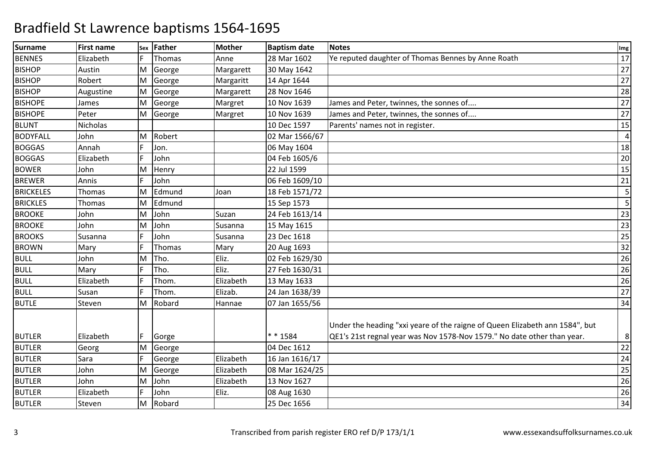| <b>Surname</b>   | <b>First name</b> | Sex | Father | <b>Mother</b> | <b>Baptism date</b> | <b>Notes</b>                                                                                                                                            | Img             |
|------------------|-------------------|-----|--------|---------------|---------------------|---------------------------------------------------------------------------------------------------------------------------------------------------------|-----------------|
| <b>BENNES</b>    | Elizabeth         |     | Thomas | Anne          | 28 Mar 1602         | Ye reputed daughter of Thomas Bennes by Anne Roath                                                                                                      | 17              |
| <b>BISHOP</b>    | Austin            | M   | George | Margarett     | 30 May 1642         |                                                                                                                                                         | 27              |
| <b>BISHOP</b>    | Robert            | İΜ  | George | Margaritt     | 14 Apr 1644         |                                                                                                                                                         | 27              |
| <b>BISHOP</b>    | Augustine         | M   | George | Margarett     | 28 Nov 1646         |                                                                                                                                                         | 28              |
| <b>BISHOPE</b>   | James             | M   | George | Margret       | 10 Nov 1639         | James and Peter, twinnes, the sonnes of                                                                                                                 | 27              |
| <b>BISHOPE</b>   | Peter             | M   | George | Margret       | 10 Nov 1639         | James and Peter, twinnes, the sonnes of                                                                                                                 | $\overline{27}$ |
| <b>BLUNT</b>     | <b>Nicholas</b>   |     |        |               | 10 Dec 1597         | Parents' names not in register.                                                                                                                         | 15              |
| <b>BODYFALL</b>  | John              | M   | Robert |               | 02 Mar 1566/67      |                                                                                                                                                         | $\overline{a}$  |
| <b>BOGGAS</b>    | Annah             | F   | Jon.   |               | 06 May 1604         |                                                                                                                                                         | 18              |
| <b>BOGGAS</b>    | Elizabeth         | F   | John   |               | 04 Feb 1605/6       |                                                                                                                                                         | 20              |
| <b>BOWER</b>     | John              | M   | Henry  |               | 22 Jul 1599         |                                                                                                                                                         | 15              |
| <b>BREWER</b>    | Annis             |     | John   |               | 06 Feb 1609/10      |                                                                                                                                                         | 21              |
| <b>BRICKELES</b> | <b>Thomas</b>     | M   | Edmund | Joan          | 18 Feb 1571/72      |                                                                                                                                                         | 5               |
| <b>BRICKLES</b>  | Thomas            | M   | Edmund |               | 15 Sep 1573         |                                                                                                                                                         | 5               |
| <b>BROOKE</b>    | John              | M   | John   | Suzan         | 24 Feb 1613/14      |                                                                                                                                                         | 23              |
| <b>BROOKE</b>    | John              | M   | John   | Susanna       | 15 May 1615         |                                                                                                                                                         | 23              |
| <b>BROOKS</b>    | Susanna           |     | John   | Susanna       | 23 Dec 1618         |                                                                                                                                                         | 25              |
| <b>BROWN</b>     | Mary              | F   | Thomas | Mary          | 20 Aug 1693         |                                                                                                                                                         | 32              |
| <b>BULL</b>      | John              | M   | Tho.   | Eliz.         | 02 Feb 1629/30      |                                                                                                                                                         | 26              |
| <b>BULL</b>      | Mary              | F   | Tho.   | Eliz.         | 27 Feb 1630/31      |                                                                                                                                                         | 26              |
| <b>BULL</b>      | Elizabeth         |     | Thom.  | Elizabeth     | 13 May 1633         |                                                                                                                                                         | 26              |
| <b>BULL</b>      | Susan             | F   | Thom.  | Elizab.       | 24 Jan 1638/39      |                                                                                                                                                         | 27              |
| <b>BUTLE</b>     | Steven            | M   | Robard | Hannae        | 07 Jan 1655/56      |                                                                                                                                                         | 34              |
| <b>BUTLER</b>    | Elizabeth         | IF. | Gorge  |               | * * 1584            | Under the heading "xxi yeare of the raigne of Queen Elizabeth ann 1584", but<br>QE1's 21st regnal year was Nov 1578-Nov 1579." No date other than year. | 8               |
| <b>BUTLER</b>    | Georg             | M   | George |               | 04 Dec 1612         |                                                                                                                                                         | 22              |
| <b>BUTLER</b>    | Sara              | F   | George | Elizabeth     | 16 Jan 1616/17      |                                                                                                                                                         | 24              |
| <b>BUTLER</b>    | John              | M   | George | Elizabeth     | 08 Mar 1624/25      |                                                                                                                                                         | 25              |
| <b>BUTLER</b>    | John              | M   | John   | Elizabeth     | 13 Nov 1627         |                                                                                                                                                         | 26              |
| <b>BUTLER</b>    | Elizabeth         | F   | John   | Eliz.         | 08 Aug 1630         |                                                                                                                                                         | 26              |
| <b>BUTLER</b>    | Steven            | İΜ  | Robard |               | 25 Dec 1656         |                                                                                                                                                         | 34              |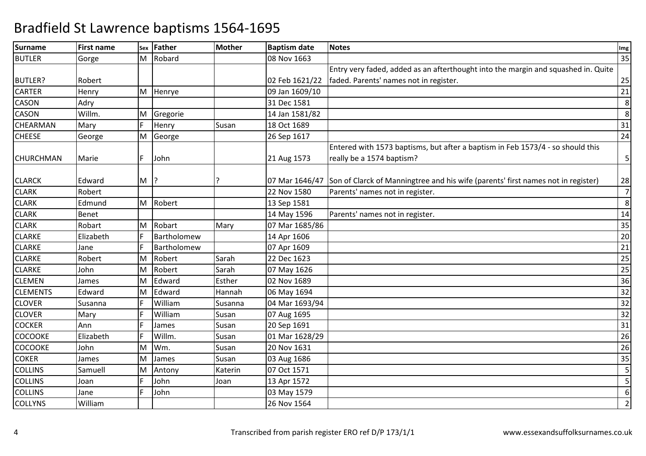| <b>Surname</b>   | <b>First name</b> | Sex | Father      | <b>Mother</b> | <b>Baptism date</b> | <b>Notes</b>                                                                                    | Img            |
|------------------|-------------------|-----|-------------|---------------|---------------------|-------------------------------------------------------------------------------------------------|----------------|
| <b>BUTLER</b>    | Gorge             | M   | Robard      |               | 08 Nov 1663         |                                                                                                 | 35             |
|                  |                   |     |             |               |                     | Entry very faded, added as an afterthought into the margin and squashed in. Quite               |                |
| <b>BUTLER?</b>   | Robert            |     |             |               | 02 Feb 1621/22      | faded. Parents' names not in register.                                                          | 25             |
| <b>CARTER</b>    | Henry             | M   | Henrye      |               | 09 Jan 1609/10      |                                                                                                 | 21             |
| <b>CASON</b>     | Adry              |     |             |               | 31 Dec 1581         |                                                                                                 | 8              |
| <b>CASON</b>     | Willm.            | M   | Gregorie    |               | 14 Jan 1581/82      |                                                                                                 | 8              |
| <b>CHEARMAN</b>  | Mary              | F   | Henry       | Susan         | 18 Oct 1689         |                                                                                                 | 31             |
| <b>CHEESE</b>    | George            | М   | George      |               | 26 Sep 1617         |                                                                                                 | 24             |
|                  |                   |     |             |               |                     | Entered with 1573 baptisms, but after a baptism in Feb 1573/4 - so should this                  |                |
| <b>CHURCHMAN</b> | Marie             | F   | John        |               | 21 Aug 1573         | really be a 1574 baptism?                                                                       | 5              |
|                  |                   |     |             |               |                     |                                                                                                 |                |
| <b>CLARCK</b>    | Edward            | M   |             |               |                     | 07 Mar 1646/47 Son of Clarck of Manningtree and his wife (parents' first names not in register) | 28             |
| <b>CLARK</b>     | Robert            |     |             |               | 22 Nov 1580         | Parents' names not in register.                                                                 | $\overline{7}$ |
| <b>CLARK</b>     | Edmund            | M   | Robert      |               | 13 Sep 1581         |                                                                                                 | 8              |
| <b>CLARK</b>     | <b>Benet</b>      |     |             |               | 14 May 1596         | Parents' names not in register.                                                                 | 14             |
| <b>CLARK</b>     | Robart            | M   | Robart      | Mary          | 07 Mar 1685/86      |                                                                                                 | 35             |
| <b>CLARKE</b>    | Elizabeth         |     | Bartholomew |               | 14 Apr 1606         |                                                                                                 | 20             |
| <b>CLARKE</b>    | Jane              |     | Bartholomew |               | 07 Apr 1609         |                                                                                                 | 21             |
| <b>CLARKE</b>    | Robert            | M   | Robert      | Sarah         | 22 Dec 1623         |                                                                                                 | 25             |
| <b>CLARKE</b>    | John              | M   | Robert      | Sarah         | 07 May 1626         |                                                                                                 | 25             |
| <b>CLEMEN</b>    | James             | М   | Edward      | Esther        | 02 Nov 1689         |                                                                                                 | 36             |
| <b>CLEMENTS</b>  | Edward            | M   | Edward      | Hannah        | 06 May 1694         |                                                                                                 | 32             |
| <b>CLOVER</b>    | Susanna           | F   | William     | Susanna       | 04 Mar 1693/94      |                                                                                                 | 32             |
| <b>CLOVER</b>    | Mary              |     | William     | Susan         | 07 Aug 1695         |                                                                                                 | 32             |
| <b>COCKER</b>    | Ann               |     | James       | Susan         | 20 Sep 1691         |                                                                                                 | 31             |
| <b>COCOOKE</b>   | Elizabeth         |     | Willm.      | Susan         | 01 Mar 1628/29      |                                                                                                 | 26             |
| <b>COCOOKE</b>   | John              | M   | Wm.         | Susan         | 20 Nov 1631         |                                                                                                 | 26             |
| <b>COKER</b>     | James             | M   | James       | Susan         | 03 Aug 1686         |                                                                                                 | 35             |
| <b>COLLINS</b>   | Samuell           | M   | Antony      | Katerin       | 07 Oct 1571         |                                                                                                 | 5              |
| <b>COLLINS</b>   | Joan              | F.  | John        | Joan          | 13 Apr 1572         |                                                                                                 | 5              |
| <b>COLLINS</b>   | Jane              |     | John        |               | 03 May 1579         |                                                                                                 | 6              |
| <b>COLLYNS</b>   | William           |     |             |               | 26 Nov 1564         |                                                                                                 | $\overline{2}$ |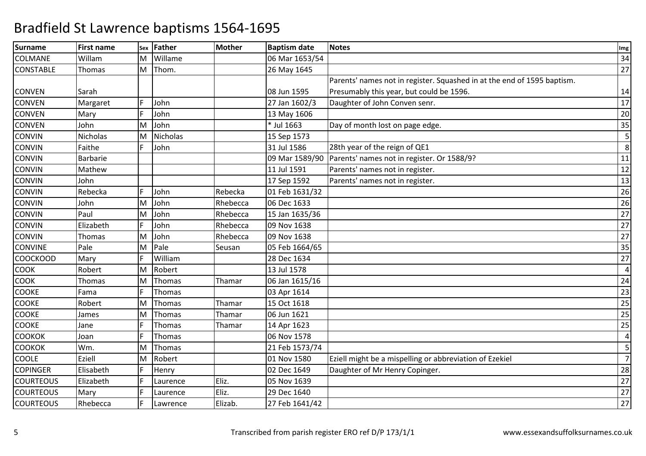| <b>Surname</b>   | <b>First name</b> | Sex | Father          | <b>Mother</b> | <b>Baptism date</b> | <b>Notes</b>                                                            | Img            |
|------------------|-------------------|-----|-----------------|---------------|---------------------|-------------------------------------------------------------------------|----------------|
| <b>COLMANE</b>   | Willam            | м   | Willame         |               | 06 Mar 1653/54      |                                                                         | 34             |
| <b>CONSTABLE</b> | Thomas            | M   | Thom.           |               | 26 May 1645         |                                                                         | 27             |
|                  |                   |     |                 |               |                     | Parents' names not in register. Squashed in at the end of 1595 baptism. |                |
| <b>CONVEN</b>    | Sarah             |     |                 |               | 08 Jun 1595         | Presumably this year, but could be 1596.                                | 14             |
| <b>CONVEN</b>    | Margaret          | Е   | John            |               | 27 Jan 1602/3       | Daughter of John Conven senr.                                           | 17             |
| <b>CONVEN</b>    | Mary              |     | John            |               | 13 May 1606         |                                                                         | 20             |
| <b>CONVEN</b>    | John              | м   | John            |               | * Jul 1663          | Day of month lost on page edge.                                         | 35             |
| <b>CONVIN</b>    | <b>Nicholas</b>   | M   | <b>Nicholas</b> |               | 15 Sep 1573         |                                                                         | 5              |
| <b>CONVIN</b>    | Faithe            | E   | John            |               | 31 Jul 1586         | 28th year of the reign of QE1                                           | 8              |
| <b>CONVIN</b>    | <b>Barbarie</b>   |     |                 |               | 09 Mar 1589/90      | Parents' names not in register. Or 1588/9?                              | 11             |
| <b>CONVIN</b>    | Mathew            |     |                 |               | 11 Jul 1591         | Parents' names not in register.                                         | 12             |
| <b>CONVIN</b>    | John              |     |                 |               | 17 Sep 1592         | Parents' names not in register.                                         | 13             |
| <b>CONVIN</b>    | Rebecka           |     | John            | Rebecka       | 01 Feb 1631/32      |                                                                         | 26             |
| <b>CONVIN</b>    | John              | M   | John            | Rhebecca      | 06 Dec 1633         |                                                                         | 26             |
| <b>CONVIN</b>    | Paul              | M   | John            | Rhebecca      | 15 Jan 1635/36      |                                                                         | 27             |
| <b>CONVIN</b>    | Elizabeth         |     | John            | Rhebecca      | 09 Nov 1638         |                                                                         | 27             |
| <b>CONVIN</b>    | Thomas            | M   | John            | Rhebecca      | 09 Nov 1638         |                                                                         | 27             |
| <b>CONVINE</b>   | Pale              | М   | Pale            | Seusan        | 05 Feb 1664/65      |                                                                         | 35             |
| <b>COOCKOOD</b>  | Mary              |     | William         |               | 28 Dec 1634         |                                                                         | 27             |
| <b>COOK</b>      | Robert            | M   | Robert          |               | 13 Jul 1578         |                                                                         | $\overline{4}$ |
| <b>COOK</b>      | Thomas            | M   | Thomas          | Thamar        | 06 Jan 1615/16      |                                                                         | 24             |
| <b>COOKE</b>     | Fama              |     | Thomas          |               | 03 Apr 1614         |                                                                         | 23             |
| <b>COOKE</b>     | Robert            | M   | Thomas          | Thamar        | 15 Oct 1618         |                                                                         | 25             |
| <b>COOKE</b>     | James             | M   | Thomas          | Thamar        | 06 Jun 1621         |                                                                         | 25             |
| <b>COOKE</b>     | Jane              | E   | Thomas          | Thamar        | 14 Apr 1623         |                                                                         | 25             |
| <b>COOKOK</b>    | Joan              |     | Thomas          |               | 06 Nov 1578         |                                                                         | $\overline{4}$ |
| <b>COOKOK</b>    | Wm.               | M   | Thomas          |               | 21 Feb 1573/74      |                                                                         | 5              |
| <b>COOLE</b>     | Eziell            | M   | Robert          |               | 01 Nov 1580         | Eziell might be a mispelling or abbreviation of Ezekiel                 | $\overline{7}$ |
| <b>COPINGER</b>  | Elisabeth         | E   | Henry           |               | 02 Dec 1649         | Daughter of Mr Henry Copinger.                                          | 28             |
| <b>COURTEOUS</b> | Elizabeth         |     | Laurence        | Eliz.         | 05 Nov 1639         |                                                                         | 27             |
| <b>COURTEOUS</b> | Mary              |     | Laurence        | Eliz.         | 29 Dec 1640         |                                                                         | 27             |
| <b>COURTEOUS</b> | Rhebecca          |     | Lawrence        | Elizab.       | 27 Feb 1641/42      |                                                                         | 27             |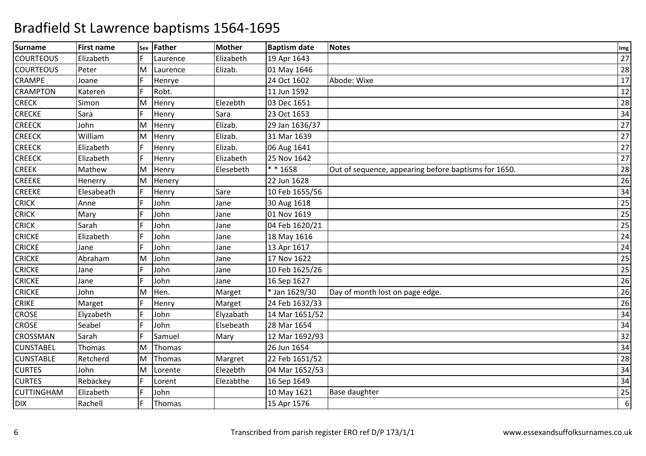| <b>Surname</b>    | <b>First name</b> | Sex | Father   | <b>Mother</b> | <b>Baptism date</b> | <b>Notes</b>                                         | Img |
|-------------------|-------------------|-----|----------|---------------|---------------------|------------------------------------------------------|-----|
| <b>COURTEOUS</b>  | Elizabeth         |     | Laurence | Elizabeth     | 19 Apr 1643         |                                                      | 27  |
| <b>COURTEOUS</b>  | Peter             | M   | Laurence | Elizab.       | 01 May 1646         |                                                      | 28  |
| <b>CRAMPE</b>     | Joane             |     | Henrye   |               | 24 Oct 1602         | Abode: Wixe                                          | 17  |
| <b>CRAMPTON</b>   | Kateren           |     | Robt.    |               | 11 Jun 1592         |                                                      | 12  |
| <b>CRECK</b>      | Simon             | M   | Henry    | Elezebth      | 03 Dec 1651         |                                                      | 28  |
| <b>CRECKE</b>     | Sara              | F   | Henry    | Sara          | 23 Oct 1653         |                                                      | 34  |
| <b>CREECK</b>     | John              | M   | Henry    | Elizab.       | 29 Jan 1636/37      |                                                      | 27  |
| <b>CREECK</b>     | William           | M   | Henry    | Elizab.       | 31 Mar 1639         |                                                      | 27  |
| <b>CREECK</b>     | Elizabeth         | F   | Henry    | Elizab.       | 06 Aug 1641         |                                                      | 27  |
| <b>CREECK</b>     | Elizabeth         | F   | Henry    | Elizabeth     | 25 Nov 1642         |                                                      | 27  |
| <b>CREEK</b>      | Mathew            | M   | Henry    | Elesebeth     | ** 1658             | Out of sequence, appearing before baptisms for 1650. | 28  |
| <b>CREEKE</b>     | Henerry           | M   | Henery   |               | 22 Jun 1628         |                                                      | 26  |
| <b>CREEKE</b>     | Elesabeath        |     | Henry    | Sare          | 10 Feb 1655/56      |                                                      | 34  |
| <b>CRICK</b>      | Anne              | F   | John     | Jane          | 30 Aug 1618         |                                                      | 25  |
| <b>CRICK</b>      | Mary              |     | John     | Jane          | 01 Nov 1619         |                                                      | 25  |
| <b>CRICK</b>      | Sarah             |     | John     | Jane          | 04 Feb 1620/21      |                                                      | 25  |
| <b>CRICKE</b>     | Elizabeth         |     | John     | Jane          | 18 May 1616         |                                                      | 24  |
| <b>CRICKE</b>     | Jane              | F   | John     | Jane          | 13 Apr 1617         |                                                      | 24  |
| <b>CRICKE</b>     | Abraham           | M   | John     | Jane          | 17 Nov 1622         |                                                      | 25  |
| <b>CRICKE</b>     | Jane              |     | John     | Jane          | 10 Feb 1625/26      |                                                      | 25  |
| <b>CRICKE</b>     | Jane              | F.  | John     | Jane          | 16 Sep 1627         |                                                      | 26  |
| <b>CRICKE</b>     | John              | M   | Hen.     | Marget        | * Jan 1629/30       | Day of month lost on page edge.                      | 26  |
| <b>CRIKE</b>      | Marget            |     | Henry    | Marget        | 24 Feb 1632/33      |                                                      | 26  |
| <b>CROSE</b>      | Elyzabeth         |     | John     | Elyzabath     | 14 Mar 1651/52      |                                                      | 34  |
| <b>CROSE</b>      | Seabel            | F   | John     | Elsebeath     | 28 Mar 1654         |                                                      | 34  |
| <b>CROSSMAN</b>   | Sarah             |     | Samuel   | Mary          | 12 Mar 1692/93      |                                                      | 32  |
| <b>CUNSTABEL</b>  | Thomas            | M   | Thomas   |               | 26 Jun 1654         |                                                      | 34  |
| <b>CUNSTABLE</b>  | Retcherd          | M   | Thomas   | Margret       | 22 Feb 1651/52      |                                                      | 28  |
| <b>CURTES</b>     | John              | M   | Lorente  | Elezebth      | 04 Mar 1652/53      |                                                      | 34  |
| <b>CURTES</b>     | Rebackey          |     | Lorent   | Elezabthe     | 16 Sep 1649         |                                                      | 34  |
| <b>CUTTINGHAM</b> | Elizabeth         |     | John     |               | 10 May 1621         | <b>Base daughter</b>                                 | 25  |
| <b>DIX</b>        | Rachell           |     | Thomas   |               | 15 Apr 1576         |                                                      | 6   |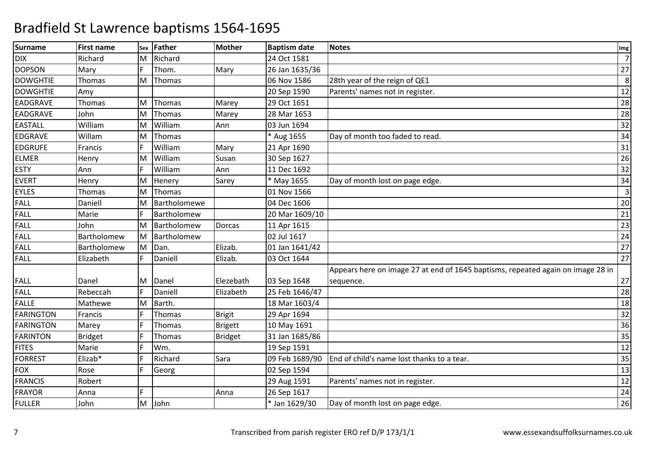| <b>Surname</b>   | <b>First name</b> |    | sex Father   | <b>Mother</b>  | <b>Baptism date</b> | <b>Notes</b>                                                                    | Img            |
|------------------|-------------------|----|--------------|----------------|---------------------|---------------------------------------------------------------------------------|----------------|
| <b>DIX</b>       | Richard           | M  | Richard      |                | 24 Oct 1581         |                                                                                 | $\overline{7}$ |
| <b>DOPSON</b>    | Mary              | F  | Thom.        | Mary           | 26 Jan 1635/36      |                                                                                 | 27             |
| <b>DOWGHTIE</b>  | Thomas            | M  | Thomas       |                | 06 Nov 1586         | 28th year of the reign of QE1                                                   | 8              |
| <b>DOWGHTIE</b>  | Amy               |    |              |                | 20 Sep 1590         | Parents' names not in register.                                                 | 12             |
| EADGRAVE         | Thomas            | М  | Thomas       | Marey          | 29 Oct 1651         |                                                                                 | 28             |
| <b>EADGRAVE</b>  | John              | M  | Thomas       | Marey          | 28 Mar 1653         |                                                                                 | 28             |
| <b>EASTALL</b>   | William           | M  | William      | Ann            | 03 Jun 1694         |                                                                                 | 32             |
| EDGRAVE          | Willam            | M  | Thomas       |                | * Aug 1655          | Day of month too faded to read.                                                 | 34             |
| <b>EDGRUFE</b>   | Francis           |    | William      | Mary           | 21 Apr 1690         |                                                                                 | 31             |
| <b>ELMER</b>     | Henry             | M  | William      | Susan          | 30 Sep 1627         |                                                                                 | 26             |
| <b>ESTY</b>      | Ann               | F  | William      | Ann            | 11 Dec 1692         |                                                                                 | 32             |
| <b>EVERT</b>     | Henry             | M  | Henery       | Sarey          | * May 1655          | Day of month lost on page edge.                                                 | 34             |
| <b>EYLES</b>     | <b>Thomas</b>     | M  | Thomas       |                | 01 Nov 1566         |                                                                                 | $\overline{3}$ |
| <b>FALL</b>      | Daniell           | M  | Bartholomewe |                | 04 Dec 1606         |                                                                                 | 20             |
| <b>FALL</b>      | Marie             | E  | Bartholomew  |                | 20 Mar 1609/10      |                                                                                 | 21             |
| FALL             | John              | M  | Bartholomew  | Dorcas         | 11 Apr 1615         |                                                                                 | 23             |
| FALL             | Bartholomew       | ΙM | Bartholomew  |                | 02 Jul 1617         |                                                                                 | 24             |
| FALL             | Bartholomew       | M  | Dan.         | Elizab.        | 01 Jan 1641/42      |                                                                                 | 27             |
| <b>FALL</b>      | Elizabeth         | E  | Daniell      | Elizab.        | 03 Oct 1644         |                                                                                 | 27             |
|                  |                   |    |              |                |                     | Appears here on image 27 at end of 1645 baptisms, repeated again on image 28 in |                |
| <b>FALL</b>      | Danel             | M  | Danel        | Elezebath      | 03 Sep 1648         | sequence.                                                                       | 27             |
| <b>FALL</b>      | Rebeccah          | F  | Daniell      | Elizabeth      | 25 Feb 1646/47      |                                                                                 | 28             |
| <b>FALLE</b>     | Mathewe           | M  | Barth.       |                | 18 Mar 1603/4       |                                                                                 | 18             |
| <b>FARINGTON</b> | Francis           |    | Thomas       | <b>Brigit</b>  | 29 Apr 1694         |                                                                                 | 32             |
| <b>FARINGTON</b> | Marey             |    | Thomas       | <b>Brigett</b> | 10 May 1691         |                                                                                 | 36             |
| <b>FARINTON</b>  | <b>Bridget</b>    |    | Thomas       | Bridget        | 31 Jan 1685/86      |                                                                                 | 35             |
| <b>FITES</b>     | Marie             | E  | Wm.          |                | 19 Sep 1591         |                                                                                 | 12             |
| <b>FORREST</b>   | Elizab*           |    | Richard      | Sara           | 09 Feb 1689/90      | End of child's name lost thanks to a tear.                                      | 35             |
| <b>FOX</b>       | Rose              |    | Georg        |                | 02 Sep 1594         |                                                                                 | 13             |
| <b>FRANCIS</b>   | Robert            |    |              |                | 29 Aug 1591         | Parents' names not in register.                                                 | 12             |
| <b>FRAYOR</b>    | Anna              | È. |              | Anna           | 26 Sep 1617         |                                                                                 | 24             |
| <b>FULLER</b>    | John              | M  | John         |                | * Jan 1629/30       | Day of month lost on page edge.                                                 | 26             |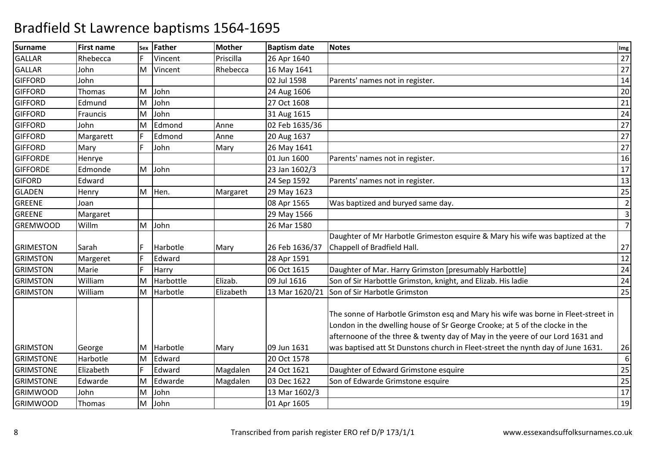| <b>Surname</b>   | <b>First name</b> | Sex | <b>Father</b> | <b>Mother</b> | <b>Baptism date</b> | <b>Notes</b>                                                                                                                                                                                                                                      | Img              |
|------------------|-------------------|-----|---------------|---------------|---------------------|---------------------------------------------------------------------------------------------------------------------------------------------------------------------------------------------------------------------------------------------------|------------------|
| <b>GALLAR</b>    | Rhebecca          | E   | Vincent       | Priscilla     | 26 Apr 1640         |                                                                                                                                                                                                                                                   | 27               |
| <b>GALLAR</b>    | John              | M   | Vincent       | Rhebecca      | 16 May 1641         |                                                                                                                                                                                                                                                   | 27               |
| <b>GIFFORD</b>   | John              |     |               |               | 02 Jul 1598         | Parents' names not in register.                                                                                                                                                                                                                   | 14               |
| <b>GIFFORD</b>   | Thomas            | M   | John          |               | 24 Aug 1606         |                                                                                                                                                                                                                                                   | 20               |
| <b>GIFFORD</b>   | Edmund            | İΜ  | John          |               | 27 Oct 1608         |                                                                                                                                                                                                                                                   | 21               |
| <b>GIFFORD</b>   | Frauncis          | M   | John          |               | 31 Aug 1615         |                                                                                                                                                                                                                                                   | $\overline{24}$  |
| <b>GIFFORD</b>   | John              | M   | Edmond        | Anne          | 02 Feb 1635/36      |                                                                                                                                                                                                                                                   | 27               |
| <b>GIFFORD</b>   | Margarett         | F   | Edmond        | Anne          | 20 Aug 1637         |                                                                                                                                                                                                                                                   | 27               |
| <b>GIFFORD</b>   | Mary              | F.  | John          | Mary          | 26 May 1641         |                                                                                                                                                                                                                                                   | 27               |
| <b>GIFFORDE</b>  | Henrye            |     |               |               | 01 Jun 1600         | Parents' names not in register.                                                                                                                                                                                                                   | 16               |
| <b>GIFFORDE</b>  | Edmonde           | M   | John          |               | 23 Jan 1602/3       |                                                                                                                                                                                                                                                   | 17               |
| <b>GIFORD</b>    | Edward            |     |               |               | 24 Sep 1592         | Parents' names not in register.                                                                                                                                                                                                                   | 13               |
| <b>GLADEN</b>    | Henry             | M   | Hen.          | Margaret      | 29 May 1623         |                                                                                                                                                                                                                                                   | 25               |
| <b>GREENE</b>    | Joan              |     |               |               | 08 Apr 1565         | Was baptized and buryed same day.                                                                                                                                                                                                                 | $\overline{2}$   |
| <b>GREENE</b>    | Margaret          |     |               |               | 29 May 1566         |                                                                                                                                                                                                                                                   | $\overline{3}$   |
| <b>GREMWOOD</b>  | Willm             | M   | John          |               | 26 Mar 1580         |                                                                                                                                                                                                                                                   | $\overline{7}$   |
|                  |                   |     |               |               |                     | Daughter of Mr Harbotle Grimeston esquire & Mary his wife was baptized at the                                                                                                                                                                     |                  |
| <b>GRIMESTON</b> | Sarah             | F   | Harbotle      | Mary          | 26 Feb 1636/37      | Chappell of Bradfield Hall.                                                                                                                                                                                                                       | 27               |
| <b>GRIMSTON</b>  | Margeret          | F   | Edward        |               | 28 Apr 1591         |                                                                                                                                                                                                                                                   | 12               |
| <b>GRIMSTON</b>  | Marie             | F.  | Harry         |               | 06 Oct 1615         | Daughter of Mar. Harry Grimston [presumably Harbottle]                                                                                                                                                                                            | 24               |
| <b>GRIMSTON</b>  | William           | M   | Harbottle     | Elizab.       | 09 Jul 1616         | Son of Sir Harbottle Grimston, knight, and Elizab. His ladie                                                                                                                                                                                      | 24               |
| <b>GRIMSTON</b>  | William           | M   | Harbotle      | Elizabeth     | 13 Mar 1620/21      | Son of Sir Harbotle Grimston                                                                                                                                                                                                                      | 25               |
|                  |                   |     |               |               |                     | The sonne of Harbotle Grimston esq and Mary his wife was borne in Fleet-street in<br>London in the dwelling house of Sr George Crooke; at 5 of the clocke in the<br>afternoone of the three & twenty day of May in the yeere of our Lord 1631 and |                  |
| <b>GRIMSTON</b>  | George            | M   | Harbotle      | Mary          | 09 Jun 1631         | was baptised att St Dunstons church in Fleet-street the nynth day of June 1631.                                                                                                                                                                   | 26               |
| <b>GRIMSTONE</b> | Harbotle          | M   | Edward        |               | 20 Oct 1578         |                                                                                                                                                                                                                                                   | $\boldsymbol{6}$ |
| <b>GRIMSTONE</b> | Elizabeth         |     | Edward        | Magdalen      | 24 Oct 1621         | Daughter of Edward Grimstone esquire                                                                                                                                                                                                              | 25               |
| <b>GRIMSTONE</b> | Edwarde           | M   | Edwarde       | Magdalen      | 03 Dec 1622         | Son of Edwarde Grimstone esquire                                                                                                                                                                                                                  | 25               |
| <b>GRIMWOOD</b>  | John              | M   | John          |               | 13 Mar 1602/3       |                                                                                                                                                                                                                                                   | $\overline{17}$  |
| <b>GRIMWOOD</b>  | Thomas            | M   | John          |               | 01 Apr 1605         |                                                                                                                                                                                                                                                   | 19               |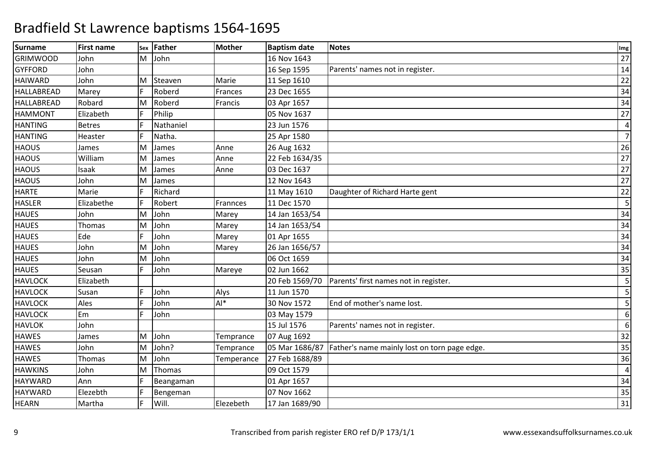| <b>Surname</b>  | <b>First name</b> |     | sex Father | <b>Mother</b> | <b>Baptism date</b> | <b>Notes</b>                                 | Img            |
|-----------------|-------------------|-----|------------|---------------|---------------------|----------------------------------------------|----------------|
| <b>GRIMWOOD</b> | John              | м   | John       |               | 16 Nov 1643         |                                              | 27             |
| <b>GYFFORD</b>  | John              |     |            |               | 16 Sep 1595         | Parents' names not in register.              | 14             |
| <b>HAIWARD</b>  | John              | M   | Steaven    | Marie         | 11 Sep 1610         |                                              | 22             |
| HALLABREAD      | Marey             |     | Roberd     | Frances       | 23 Dec 1655         |                                              | 34             |
| HALLABREAD      | Robard            | M   | Roberd     | Francis       | 03 Apr 1657         |                                              | 34             |
| <b>HAMMONT</b>  | Elizabeth         | E   | Philip     |               | 05 Nov 1637         |                                              | 27             |
| <b>HANTING</b>  | <b>Betres</b>     | F   | Nathaniel  |               | 23 Jun 1576         |                                              | $\overline{4}$ |
| <b>HANTING</b>  | Heaster           |     | Natha.     |               | 25 Apr 1580         |                                              | $\overline{7}$ |
| <b>HAOUS</b>    | James             | M   | James      | Anne          | 26 Aug 1632         |                                              | 26             |
| <b>HAOUS</b>    | William           | ΙM  | James      | Anne          | 22 Feb 1634/35      |                                              | 27             |
| <b>HAOUS</b>    | Isaak             | ΙM  | James      | Anne          | 03 Dec 1637         |                                              | 27             |
| <b>HAOUS</b>    | John              | ΙM  | James      |               | 12 Nov 1643         |                                              | 27             |
| <b>HARTE</b>    | Marie             | F   | Richard    |               | 11 May 1610         | Daughter of Richard Harte gent               | 22             |
| <b>HASLER</b>   | Elizabethe        | E   | Robert     | Frannces      | 11 Dec 1570         |                                              | 5              |
| <b>HAUES</b>    | John              | M   | John       | Marey         | 14 Jan 1653/54      |                                              | 34             |
| <b>HAUES</b>    | Thomas            | ΙM  | John       | Marey         | 14 Jan 1653/54      |                                              | 34             |
| <b>HAUES</b>    | Ede               |     | John       | Marey         | 01 Apr 1655         |                                              | 34             |
| <b>HAUES</b>    | John              | M   | John       | Marey         | 26 Jan 1656/57      |                                              | 34             |
| <b>HAUES</b>    | John              | M   | John       |               | 06 Oct 1659         |                                              | 34             |
| <b>HAUES</b>    | Seusan            | lF. | John       | Mareye        | 02 Jun 1662         |                                              | 35             |
| <b>HAVLOCK</b>  | Elizabeth         |     |            |               | 20 Feb 1569/70      | Parents' first names not in register.        | 5              |
| <b>HAVLOCK</b>  | Susan             |     | John       | Alys          | 11 Jun 1570         |                                              | 5              |
| <b>HAVLOCK</b>  | Ales              | F   | John       | $Al*$         | 30 Nov 1572         | End of mother's name lost.                   | 5              |
| <b>HAVLOCK</b>  | Em                |     | John       |               | 03 May 1579         |                                              | 6              |
| <b>HAVLOK</b>   | John              |     |            |               | 15 Jul 1576         | Parents' names not in register.              | 6              |
| <b>HAWES</b>    | James             | M   | John       | Temprance     | 07 Aug 1692         |                                              | 32             |
| <b>HAWES</b>    | John              | M   | John?      | Temprance     | 05 Mar 1686/87      | Father's name mainly lost on torn page edge. | 35             |
| <b>HAWES</b>    | <b>Thomas</b>     | M   | John       | Temperance    | 27 Feb 1688/89      |                                              | 36             |
| <b>HAWKINS</b>  | John              | M   | Thomas     |               | 09 Oct 1579         |                                              | $\pmb{4}$      |
| <b>HAYWARD</b>  | Ann               | lF. | Beangaman  |               | 01 Apr 1657         |                                              | 34             |
| <b>HAYWARD</b>  | Elezebth          |     | Bengeman   |               | 07 Nov 1662         |                                              | 35             |
| <b>HEARN</b>    | Martha            |     | Will.      | Elezebeth     | 17 Jan 1689/90      |                                              | 31             |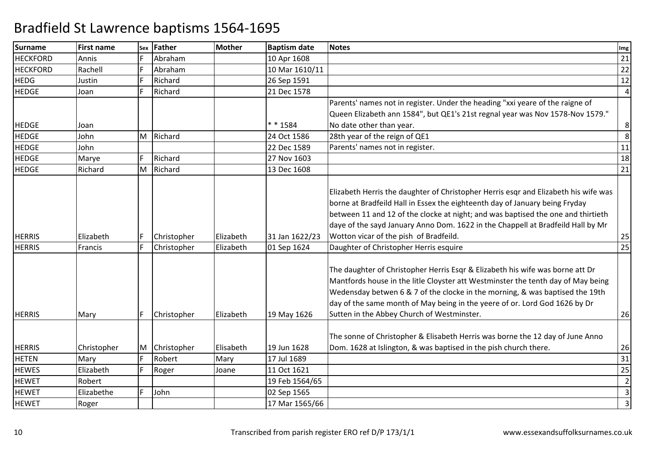| <b>Surname</b>  | <b>First name</b> | Sex | Father      | Mother    | <b>Baptism date</b> | <b>Notes</b>                                                                                                                                                                                                                                                                                                                                                                        | Img             |
|-----------------|-------------------|-----|-------------|-----------|---------------------|-------------------------------------------------------------------------------------------------------------------------------------------------------------------------------------------------------------------------------------------------------------------------------------------------------------------------------------------------------------------------------------|-----------------|
| <b>HECKFORD</b> | Annis             |     | Abraham     |           | 10 Apr 1608         |                                                                                                                                                                                                                                                                                                                                                                                     | 21              |
| <b>HECKFORD</b> | Rachell           | F   | Abraham     |           | 10 Mar 1610/11      |                                                                                                                                                                                                                                                                                                                                                                                     | 22              |
| <b>HEDG</b>     | Justin            | F   | Richard     |           | 26 Sep 1591         |                                                                                                                                                                                                                                                                                                                                                                                     | 12              |
| <b>HEDGE</b>    | Joan              |     | Richard     |           | 21 Dec 1578         |                                                                                                                                                                                                                                                                                                                                                                                     | $\vert 4 \vert$ |
|                 |                   |     |             |           |                     | Parents' names not in register. Under the heading "xxi yeare of the raigne of                                                                                                                                                                                                                                                                                                       |                 |
|                 |                   |     |             |           |                     | Queen Elizabeth ann 1584", but QE1's 21st regnal year was Nov 1578-Nov 1579."                                                                                                                                                                                                                                                                                                       |                 |
| <b>HEDGE</b>    | Joan              |     |             |           | * * 1584            | No date other than year.                                                                                                                                                                                                                                                                                                                                                            | 8 <sup>1</sup>  |
| <b>HEDGE</b>    | John              | M   | Richard     |           | 24 Oct 1586         | 28th year of the reign of QE1                                                                                                                                                                                                                                                                                                                                                       | 8 <sup>1</sup>  |
| <b>HEDGE</b>    | John              |     |             |           | 22 Dec 1589         | Parents' names not in register.                                                                                                                                                                                                                                                                                                                                                     | 11              |
| <b>HEDGE</b>    | Marye             | F.  | Richard     |           | 27 Nov 1603         |                                                                                                                                                                                                                                                                                                                                                                                     | 18              |
| <b>HEDGE</b>    | Richard           | M   | Richard     |           | 13 Dec 1608         |                                                                                                                                                                                                                                                                                                                                                                                     | 21              |
| <b>HERRIS</b>   | Elizabeth         | F.  | Christopher | Elizabeth | 31 Jan 1622/23      | Elizabeth Herris the daughter of Christopher Herris esgr and Elizabeth his wife was<br>borne at Bradfeild Hall in Essex the eighteenth day of January being Fryday<br>between 11 and 12 of the clocke at night; and was baptised the one and thirtieth<br>daye of the sayd January Anno Dom. 1622 in the Chappell at Bradfeild Hall by Mr<br>Wotton vicar of the pish of Bradfeild. | 25              |
| <b>HERRIS</b>   | Francis           | F   | Christopher | Elizabeth | 01 Sep 1624         | Daughter of Christopher Herris esquire                                                                                                                                                                                                                                                                                                                                              | 25              |
| <b>HERRIS</b>   |                   | F.  | Christopher | Elizabeth | 19 May 1626         | The daughter of Christopher Herris Esqr & Elizabeth his wife was borne att Dr<br>Mantfords house in the litle Cloyster att Westminster the tenth day of May being<br>Wedensday betwen 6 & 7 of the clocke in the morning, & was baptised the 19th<br>day of the same month of May being in the yeere of or. Lord God 1626 by Dr<br>Sutten in the Abbey Church of Westminster.       | 26              |
|                 | Mary              |     |             |           |                     |                                                                                                                                                                                                                                                                                                                                                                                     |                 |
| <b>HERRIS</b>   | Christopher       | M   | Christopher | Elisabeth | 19 Jun 1628         | The sonne of Christopher & Elisabeth Herris was borne the 12 day of June Anno<br>Dom. 1628 at Islington, & was baptised in the pish church there.                                                                                                                                                                                                                                   | 26              |
| <b>HETEN</b>    | Mary              | F   | Robert      | Mary      | 17 Jul 1689         |                                                                                                                                                                                                                                                                                                                                                                                     | 31              |
| <b>HEWES</b>    | Elizabeth         | F   | Roger       | Joane     | 11 Oct 1621         |                                                                                                                                                                                                                                                                                                                                                                                     | 25              |
| <b>HEWET</b>    | Robert            |     |             |           | 19 Feb 1564/65      |                                                                                                                                                                                                                                                                                                                                                                                     | $\overline{2}$  |
| <b>HEWET</b>    | Elizabethe        |     | John        |           | 02 Sep 1565         |                                                                                                                                                                                                                                                                                                                                                                                     | $\overline{3}$  |
| <b>HEWET</b>    | Roger             |     |             |           | 17 Mar 1565/66      |                                                                                                                                                                                                                                                                                                                                                                                     | $\overline{3}$  |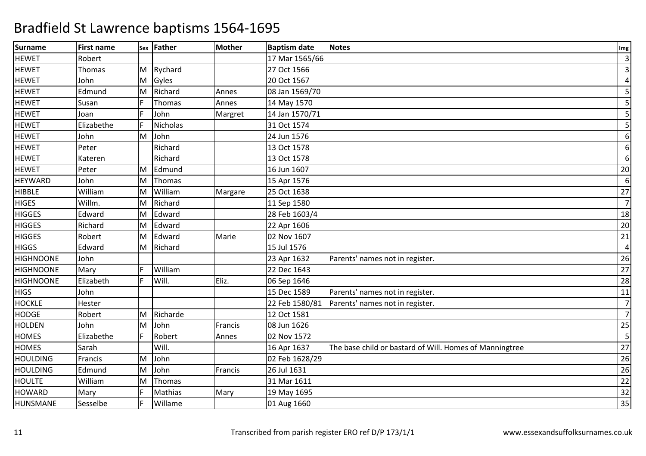| <b>Surname</b>   | <b>First name</b> |    | sex Father      | <b>Mother</b> | <b>Baptism date</b> | <b>Notes</b>                                            | Img              |
|------------------|-------------------|----|-----------------|---------------|---------------------|---------------------------------------------------------|------------------|
| <b>HEWET</b>     | Robert            |    |                 |               | 17 Mar 1565/66      |                                                         | 3                |
| <b>HEWET</b>     | Thomas            |    | M Rychard       |               | 27 Oct 1566         |                                                         | 3                |
| <b>HEWET</b>     | John              | M  | Gyles           |               | 20 Oct 1567         |                                                         | $\overline{a}$   |
| <b>HEWET</b>     | Edmund            | M  | Richard         | Annes         | 08 Jan 1569/70      |                                                         | 5                |
| <b>HEWET</b>     | Susan             |    | Thomas          | Annes         | 14 May 1570         |                                                         | 5                |
| <b>HEWET</b>     | Joan              | F  | John            | Margret       | 14 Jan 1570/71      |                                                         | 5                |
| <b>HEWET</b>     | Elizabethe        | E  | <b>Nicholas</b> |               | 31 Oct 1574         |                                                         | 5                |
| <b>HEWET</b>     | John              | M  | John            |               | 24 Jun 1576         |                                                         | 6                |
| <b>HEWET</b>     | Peter             |    | Richard         |               | 13 Oct 1578         |                                                         | $\boldsymbol{6}$ |
| <b>HEWET</b>     | Kateren           |    | Richard         |               | 13 Oct 1578         |                                                         | 6                |
| <b>HEWET</b>     | Peter             | M  | Edmund          |               | 16 Jun 1607         |                                                         | 20               |
| <b>HEYWARD</b>   | John              | M  | Thomas          |               | 15 Apr 1576         |                                                         | 6                |
| <b>HIBBLE</b>    | William           | M  | William         | Margare       | 25 Oct 1638         |                                                         | 27               |
| <b>HIGES</b>     | Willm.            | M  | Richard         |               | 11 Sep 1580         |                                                         | $\overline{7}$   |
| <b>HIGGES</b>    | Edward            | M  | Edward          |               | 28 Feb 1603/4       |                                                         | 18               |
| <b>HIGGES</b>    | Richard           | м  | Edward          |               | 22 Apr 1606         |                                                         | 20               |
| <b>HIGGES</b>    | Robert            | M  | Edward          | Marie         | 02 Nov 1607         |                                                         | 21               |
| <b>HIGGS</b>     | Edward            | M  | Richard         |               | 15 Jul 1576         |                                                         | $\overline{4}$   |
| <b>HIGHNOONE</b> | John              |    |                 |               | 23 Apr 1632         | Parents' names not in register.                         | 26               |
| <b>HIGHNOONE</b> | Mary              | F. | William         |               | 22 Dec 1643         |                                                         | 27               |
| <b>HIGHNOONE</b> | Elizabeth         | F  | Will.           | Eliz.         | 06 Sep 1646         |                                                         | 28               |
| <b>HIGS</b>      | John              |    |                 |               | 15 Dec 1589         | Parents' names not in register.                         | 11               |
| <b>HOCKLE</b>    | Hester            |    |                 |               | 22 Feb 1580/81      | Parents' names not in register.                         | $\overline{7}$   |
| <b>HODGE</b>     | Robert            | M  | Richarde        |               | 12 Oct 1581         |                                                         | $\overline{7}$   |
| <b>HOLDEN</b>    | John              | M  | John            | Francis       | 08 Jun 1626         |                                                         | 25               |
| <b>HOMES</b>     | Elizabethe        | F  | Robert          | Annes         | 02 Nov 1572         |                                                         | 5                |
| <b>HOMES</b>     | Sarah             |    | Will.           |               | 16 Apr 1637         | The base child or bastard of Will. Homes of Manningtree | 27               |
| <b>HOULDING</b>  | Francis           | M  | John            |               | 02 Feb 1628/29      |                                                         | 26               |
| <b>HOULDING</b>  | Edmund            | M  | John            | Francis       | 26 Jul 1631         |                                                         | 26               |
| <b>HOULTE</b>    | William           | M  | Thomas          |               | 31 Mar 1611         |                                                         | 22               |
| <b>HOWARD</b>    | Mary              |    | <b>Mathias</b>  | Mary          | 19 May 1695         |                                                         | 32               |
| HUNSMANE         | Sesselbe          | E  | Willame         |               | 01 Aug 1660         |                                                         | 35               |
|                  |                   |    |                 |               |                     |                                                         |                  |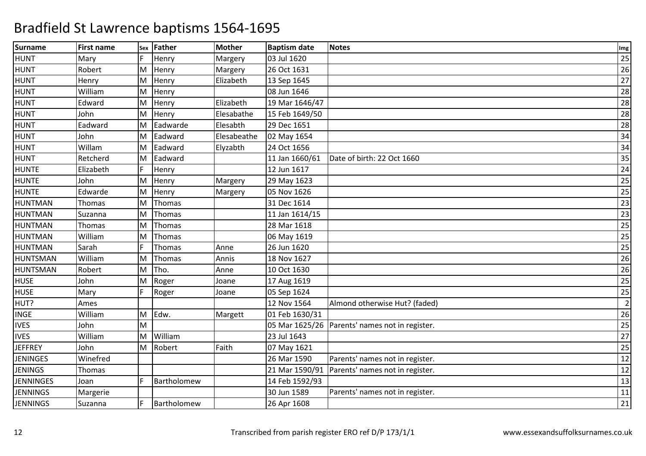| <b>Surname</b>   | <b>First name</b> |    | sex Father  | <b>Mother</b> | <b>Baptism date</b> | <b>Notes</b>                                   | Img             |
|------------------|-------------------|----|-------------|---------------|---------------------|------------------------------------------------|-----------------|
| <b>HUNT</b>      | Mary              |    | Henry       | Margery       | 03 Jul 1620         |                                                | 25              |
| <b>HUNT</b>      | Robert            | M  | Henry       | Margery       | 26 Oct 1631         |                                                | 26              |
| <b>HUNT</b>      | Henry             | M  | Henry       | Elizabeth     | 13 Sep 1645         |                                                | 27              |
| <b>HUNT</b>      | William           | M  | Henry       |               | 08 Jun 1646         |                                                | 28              |
| <b>HUNT</b>      | Edward            | M  | Henry       | Elizabeth     | 19 Mar 1646/47      |                                                | 28              |
| <b>HUNT</b>      | John              | M  | Henry       | Elesabathe    | 15 Feb 1649/50      |                                                | 28              |
| <b>HUNT</b>      | Eadward           | M  | Eadwarde    | Elesabth      | 29 Dec 1651         |                                                | 28              |
| <b>HUNT</b>      | John              | M  | Eadward     | Elesabeathe   | 02 May 1654         |                                                | 34              |
| <b>HUNT</b>      | Willam            | M  | Eadward     | Elyzabth      | 24 Oct 1656         |                                                | 34              |
| <b>HUNT</b>      | Retcherd          | M  | Eadward     |               | 11 Jan 1660/61      | Date of birth: 22 Oct 1660                     | 35              |
| <b>HUNTE</b>     | Elizabeth         | F  | Henry       |               | 12 Jun 1617         |                                                | 24              |
| <b>HUNTE</b>     | John              | M  | Henry       | Margery       | 29 May 1623         |                                                | 25              |
| <b>HUNTE</b>     | Edwarde           | M  | Henry       | Margery       | 05 Nov 1626         |                                                | 25              |
| <b>HUNTMAN</b>   | Thomas            | M  | Thomas      |               | 31 Dec 1614         |                                                | $\overline{23}$ |
| <b>HUNTMAN</b>   | Suzanna           | M  | Thomas      |               | 11 Jan 1614/15      |                                                | 23              |
| <b>HUNTMAN</b>   | Thomas            | M  | Thomas      |               | 28 Mar 1618         |                                                | 25              |
| <b>HUNTMAN</b>   | William           | M  | Thomas      |               | 06 May 1619         |                                                | 25              |
| <b>HUNTMAN</b>   | Sarah             | F  | Thomas      | Anne          | 26 Jun 1620         |                                                | 25              |
| <b>HUNTSMAN</b>  | William           | M  | Thomas      | Annis         | 18 Nov 1627         |                                                | 26              |
| <b>HUNTSMAN</b>  | Robert            | M  | Tho.        | Anne          | 10 Oct 1630         |                                                | 26              |
| <b>HUSE</b>      | John              | M  | Roger       | Joane         | 17 Aug 1619         |                                                | 25              |
| <b>HUSE</b>      | Mary              | F. | Roger       | Joane         | 05 Sep 1624         |                                                | 25              |
| HUT?             | Ames              |    |             |               | 12 Nov 1564         | Almond otherwise Hut? (faded)                  | $\overline{2}$  |
| <b>INGE</b>      | William           | M  | Edw.        | Margett       | 01 Feb 1630/31      |                                                | 26              |
| <b>IVES</b>      | John              | M  |             |               |                     | 05 Mar 1625/26 Parents' names not in register. | 25              |
| <b>IVES</b>      | William           | M  | William     |               | 23 Jul 1643         |                                                | 27              |
| <b>JEFFREY</b>   | John              | M  | Robert      | Faith         | 07 May 1621         |                                                | 25              |
| <b>JENINGES</b>  | Winefred          |    |             |               | 26 Mar 1590         | Parents' names not in register.                | 12              |
| <b>JENINGS</b>   | Thomas            |    |             |               | 21 Mar 1590/91      | Parents' names not in register.                | 12              |
| <b>JENNINGES</b> | Joan              | F  | Bartholomew |               | 14 Feb 1592/93      |                                                | 13              |
| <b>JENNINGS</b>  | Margerie          |    |             |               | 30 Jun 1589         | Parents' names not in register.                | 11              |
| <b>JENNINGS</b>  | Suzanna           |    | Bartholomew |               | 26 Apr 1608         |                                                | 21              |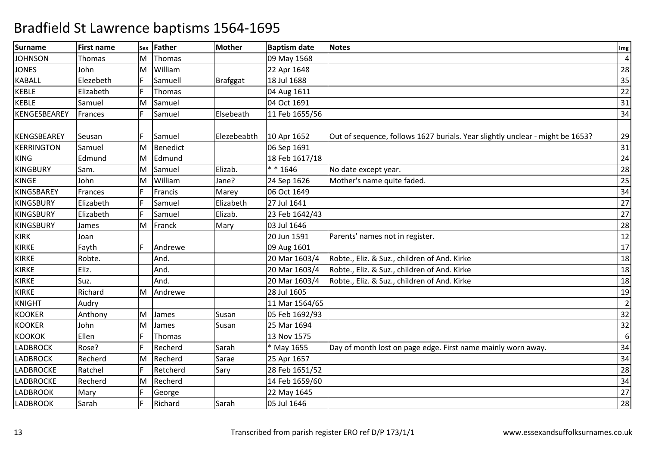| <b>Surname</b>     | <b>First name</b> | Sex | <b>Father</b>   | <b>Mother</b>   | <b>Baptism date</b> | <b>Notes</b>                                                                  | Img            |
|--------------------|-------------------|-----|-----------------|-----------------|---------------------|-------------------------------------------------------------------------------|----------------|
| <b>JOHNSON</b>     | Thomas            | м   | Thomas          |                 | 09 May 1568         |                                                                               | 4              |
| <b>JONES</b>       | John              | M   | William         |                 | 22 Apr 1648         |                                                                               | 28             |
| <b>KABALL</b>      | Elezebeth         |     | Samuell         | <b>Brafggat</b> | 18 Jul 1688         |                                                                               | 35             |
| <b>KEBLE</b>       | Elizabeth         |     | Thomas          |                 | 04 Aug 1611         |                                                                               | 22             |
| <b>KEBLE</b>       | Samuel            | M   | Samuel          |                 | 04 Oct 1691         |                                                                               | 31             |
| KENGESBEAREY       | Frances           | F   | Samuel          | Elsebeath       | 11 Feb 1655/56      |                                                                               | 34             |
|                    |                   |     |                 |                 |                     |                                                                               |                |
| <b>KENGSBEAREY</b> | Seusan            |     | Samuel          | Elezebeabth     | 10 Apr 1652         | Out of sequence, follows 1627 burials. Year slightly unclear - might be 1653? | 29             |
| <b>KERRINGTON</b>  | Samuel            | M   | <b>Benedict</b> |                 | 06 Sep 1691         |                                                                               | 31             |
| <b>KING</b>        | Edmund            | M   | Edmund          |                 | 18 Feb 1617/18      |                                                                               | 24             |
| <b>KINGBURY</b>    | Sam.              | M   | Samuel          | Elizab.         | $* * 1646$          | No date except year.                                                          | 28             |
| <b>KINGE</b>       | John              | M   | William         | Jane?           | 24 Sep 1626         | Mother's name quite faded.                                                    | 25             |
| <b>KINGSBAREY</b>  | Frances           |     | Francis         | Marey           | 06 Oct 1649         |                                                                               | 34             |
| <b>KINGSBURY</b>   | Elizabeth         | F   | Samuel          | Elizabeth       | 27 Jul 1641         |                                                                               | 27             |
| <b>KINGSBURY</b>   | Elizabeth         |     | Samuel          | Elizab.         | 23 Feb 1642/43      |                                                                               | 27             |
| <b>KINGSBURY</b>   | James             | M   | Franck          | Mary            | 03 Jul 1646         |                                                                               | 28             |
| <b>KIRK</b>        | Joan              |     |                 |                 | 20 Jun 1591         | Parents' names not in register.                                               | 12             |
| <b>KIRKE</b>       | Fayth             | E   | Andrewe         |                 | 09 Aug 1601         |                                                                               | 17             |
| <b>KIRKE</b>       | Robte.            |     | And.            |                 | 20 Mar 1603/4       | Robte., Eliz. & Suz., children of And. Kirke                                  | 18             |
| <b>KIRKE</b>       | Eliz.             |     | And.            |                 | 20 Mar 1603/4       | Robte., Eliz. & Suz., children of And. Kirke                                  | 18             |
| <b>KIRKE</b>       | Suz.              |     | And.            |                 | 20 Mar 1603/4       | Robte., Eliz. & Suz., children of And. Kirke                                  | 18             |
| KIRKE              | Richard           | M   | Andrewe         |                 | 28 Jul 1605         |                                                                               | 19             |
| <b>KNIGHT</b>      | Audry             |     |                 |                 | 11 Mar 1564/65      |                                                                               | $\overline{2}$ |
| <b>KOOKER</b>      | Anthony           | M   | James           | Susan           | 05 Feb 1692/93      |                                                                               | 32             |
| <b>KOOKER</b>      | John              | M   | James           | Susan           | 25 Mar 1694         |                                                                               | 32             |
| <b>KOOKOK</b>      | Ellen             |     | Thomas          |                 | 13 Nov 1575         |                                                                               | 6              |
| <b>LADBROCK</b>    | Rose?             |     | Recherd         | Sarah           | * May 1655          | Day of month lost on page edge. First name mainly worn away.                  | 34             |
| <b>LADBROCK</b>    | Recherd           | M   | Recherd         | Sarae           | 25 Apr 1657         |                                                                               | 34             |
| <b>LADBROCKE</b>   | Ratchel           | F   | Retcherd        | Sary            | 28 Feb 1651/52      |                                                                               | 28             |
| <b>LADBROCKE</b>   | Recherd           | M   | Recherd         |                 | 14 Feb 1659/60      |                                                                               | 34             |
| <b>LADBROOK</b>    | Mary              |     | George          |                 | 22 May 1645         |                                                                               | 27             |
| <b>LADBROOK</b>    | Sarah             |     | Richard         | Sarah           | 05 Jul 1646         |                                                                               | 28             |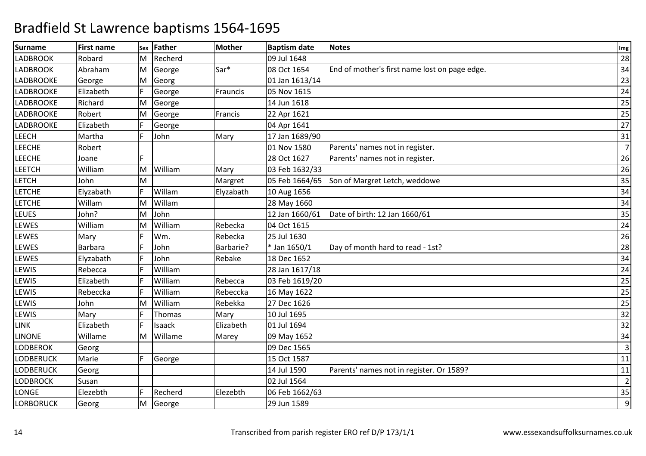| <b>Surname</b>   | <b>First name</b> |   | sex Father | <b>Mother</b> | <b>Baptism date</b> | <b>Notes</b>                                  | Img            |
|------------------|-------------------|---|------------|---------------|---------------------|-----------------------------------------------|----------------|
| <b>LADBROOK</b>  | Robard            | M | Recherd    |               | 09 Jul 1648         |                                               | 28             |
| <b>LADBROOK</b>  | Abraham           | M | George     | Sar*          | 08 Oct 1654         | End of mother's first name lost on page edge. | 34             |
| LADBROOKE        | George            | M | Georg      |               | 01 Jan 1613/14      |                                               | 23             |
| <b>LADBROOKE</b> | Elizabeth         |   | George     | Frauncis      | 05 Nov 1615         |                                               | 24             |
| <b>LADBROOKE</b> | Richard           | M | George     |               | 14 Jun 1618         |                                               | 25             |
| <b>LADBROOKE</b> | Robert            | M | George     | Francis       | 22 Apr 1621         |                                               | 25             |
| <b>LADBROOKE</b> | Elizabeth         | F | George     |               | 04 Apr 1641         |                                               | 27             |
| LEECH            | Martha            |   | John       | Mary          | 17 Jan 1689/90      |                                               | 31             |
| <b>LEECHE</b>    | Robert            |   |            |               | 01 Nov 1580         | Parents' names not in register.               | $\overline{7}$ |
| <b>LEECHE</b>    | Joane             |   |            |               | 28 Oct 1627         | Parents' names not in register.               | 26             |
| <b>LEETCH</b>    | William           | M | William    | Mary          | 03 Feb 1632/33      |                                               | 26             |
| <b>LETCH</b>     | John              | M |            | Margret       | 05 Feb 1664/65      | Son of Margret Letch, weddowe                 | 35             |
| <b>LETCHE</b>    | Elyzabath         |   | Willam     | Elyzabath     | 10 Aug 1656         |                                               | 34             |
| <b>LETCHE</b>    | Willam            | M | Willam     |               | 28 May 1660         |                                               | 34             |
| <b>LEUES</b>     | John?             | M | John       |               | 12 Jan 1660/61      | Date of birth: 12 Jan 1660/61                 | 35             |
| LEWES            | William           | M | William    | Rebecka       | 04 Oct 1615         |                                               | 24             |
| LEWES            | Mary              |   | Wm.        | Rebecka       | 25 Jul 1630         |                                               | 26             |
| LEWES            | <b>Barbara</b>    |   | John       | Barbarie?     | * Jan 1650/1        | Day of month hard to read - 1st?              | 28             |
| LEWES            | Elyzabath         |   | John       | Rebake        | 18 Dec 1652         |                                               | 34             |
| LEWIS            | Rebecca           |   | William    |               | 28 Jan 1617/18      |                                               | 24             |
| LEWIS            | Elizabeth         |   | William    | Rebecca       | 03 Feb 1619/20      |                                               | 25             |
| LEWIS            | Rebeccka          |   | William    | Rebeccka      | 16 May 1622         |                                               | 25             |
| LEWIS            | John              | M | William    | Rebekka       | 27 Dec 1626         |                                               | 25             |
| LEWIS            | Mary              |   | Thomas     | Mary          | 10 Jul 1695         |                                               | 32             |
| <b>LINK</b>      | Elizabeth         |   | Isaack     | Elizabeth     | 01 Jul 1694         |                                               | 32             |
| <b>LINONE</b>    | Willame           | M | Willame    | Marey         | 09 May 1652         |                                               | 34             |
| <b>LODBEROK</b>  | Georg             |   |            |               | 09 Dec 1565         |                                               | $\overline{3}$ |
| <b>LODBERUCK</b> | Marie             | F | George     |               | 15 Oct 1587         |                                               | 11             |
| <b>LODBERUCK</b> | Georg             |   |            |               | 14 Jul 1590         | Parents' names not in register. Or 1589?      | 11             |
| <b>LODBROCK</b>  | Susan             |   |            |               | 02 Jul 1564         |                                               | $\overline{2}$ |
| LONGE            | Elezebth          | F | Recherd    | Elezebth      | 06 Feb 1662/63      |                                               | 35             |
| <b>LORBORUCK</b> | Georg             | M | George     |               | 29 Jun 1589         |                                               | 9              |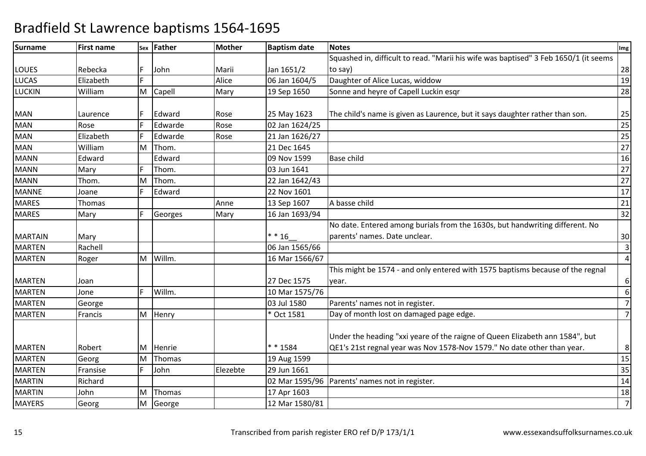| <b>Surname</b> | <b>First name</b> |   | sex Father | <b>Mother</b> | <b>Baptism date</b> | <b>Notes</b>                                                                         | Img              |
|----------------|-------------------|---|------------|---------------|---------------------|--------------------------------------------------------------------------------------|------------------|
|                |                   |   |            |               |                     | Squashed in, difficult to read. "Marii his wife was baptised" 3 Feb 1650/1 (it seems |                  |
| <b>LOUES</b>   | Rebecka           | F | John       | Marii         | Jan 1651/2          | to say)                                                                              | 28               |
| <b>LUCAS</b>   | Elizabeth         |   |            | Alice         | 06 Jan 1604/5       | Daughter of Alice Lucas, widdow                                                      | 19               |
| <b>LUCKIN</b>  | William           | M | Capell     | Mary          | 19 Sep 1650         | Sonne and heyre of Capell Luckin esgr                                                | 28               |
|                |                   |   |            |               |                     |                                                                                      |                  |
| <b>MAN</b>     | Laurence          |   | Edward     | Rose          | 25 May 1623         | The child's name is given as Laurence, but it says daughter rather than son.         | 25               |
| <b>MAN</b>     | Rose              |   | Edwarde    | Rose          | 02 Jan 1624/25      |                                                                                      | $\overline{25}$  |
| <b>MAN</b>     | Elizabeth         |   | Edwarde    | Rose          | 21 Jan 1626/27      |                                                                                      | $\overline{25}$  |
| <b>MAN</b>     | William           | м | Thom.      |               | 21 Dec 1645         |                                                                                      | $\overline{27}$  |
| <b>MANN</b>    | Edward            |   | Edward     |               | 09 Nov 1599         | <b>Base child</b>                                                                    | 16               |
| <b>MANN</b>    | Mary              |   | Thom.      |               | 03 Jun 1641         |                                                                                      | 27               |
| <b>MANN</b>    | Thom.             | М | Thom.      |               | 22 Jan 1642/43      |                                                                                      | 27               |
| <b>MANNE</b>   | Joane             |   | Edward     |               | 22 Nov 1601         |                                                                                      | 17               |
| <b>MARES</b>   | Thomas            |   |            | Anne          | 13 Sep 1607         | A basse child                                                                        | 21               |
| <b>MARES</b>   | Mary              | F | Georges    | Mary          | 16 Jan 1693/94      |                                                                                      | 32               |
|                |                   |   |            |               |                     | No date. Entered among burials from the 1630s, but handwriting different. No         |                  |
| <b>MARTAIN</b> | Mary              |   |            |               | $* * 16$            | parents' names. Date unclear.                                                        | 30               |
| <b>MARTEN</b>  | Rachell           |   |            |               | 06 Jan 1565/66      |                                                                                      | $\overline{3}$   |
| <b>MARTEN</b>  | Roger             | M | Willm.     |               | 16 Mar 1566/67      |                                                                                      | $\overline{4}$   |
|                |                   |   |            |               |                     | This might be 1574 - and only entered with 1575 baptisms because of the regnal       |                  |
| <b>MARTEN</b>  | Joan              |   |            |               | 27 Dec 1575         | year.                                                                                | 6                |
| <b>MARTEN</b>  | Jone              | F | Willm.     |               | 10 Mar 1575/76      |                                                                                      | $\boldsymbol{6}$ |
| <b>MARTEN</b>  | George            |   |            |               | 03 Jul 1580         | Parents' names not in register.                                                      | $\overline{7}$   |
| <b>MARTEN</b>  | Francis           |   | M Henry    |               | * Oct 1581          | Day of month lost on damaged page edge.                                              | 7                |
|                |                   |   |            |               |                     |                                                                                      |                  |
|                |                   |   |            |               |                     | Under the heading "xxi yeare of the raigne of Queen Elizabeth ann 1584", but         |                  |
| <b>MARTEN</b>  | Robert            | M | Henrie     |               | ** 1584             | QE1's 21st regnal year was Nov 1578-Nov 1579." No date other than year.              | 8                |
| <b>MARTEN</b>  | Georg             | M | Thomas     |               | 19 Aug 1599         |                                                                                      | 15               |
| <b>MARTEN</b>  | Fransise          |   | John       | Elezebte      | 29 Jun 1661         |                                                                                      | 35               |
| <b>MARTIN</b>  | Richard           |   |            |               |                     | 02 Mar 1595/96   Parents' names not in register.                                     | 14               |
| <b>MARTIN</b>  | John              | M | Thomas     |               | 17 Apr 1603         |                                                                                      | 18               |
| <b>MAYERS</b>  | Georg             | M | George     |               | 12 Mar 1580/81      |                                                                                      | $\overline{7}$   |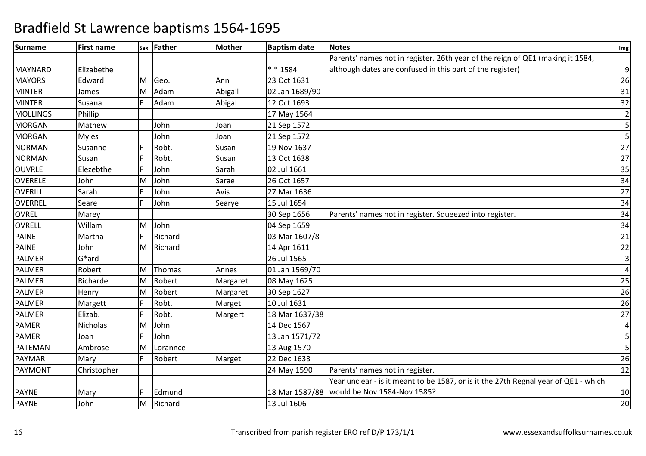| <b>Surname</b>  | <b>First name</b> |   | sex Father    | <b>Mother</b> | <b>Baptism date</b> | <b>Notes</b>                                                                        | Img            |
|-----------------|-------------------|---|---------------|---------------|---------------------|-------------------------------------------------------------------------------------|----------------|
|                 |                   |   |               |               |                     | Parents' names not in register. 26th year of the reign of QE1 (making it 1584,      |                |
| MAYNARD         | Elizabethe        |   |               |               | ** 1584             | although dates are confused in this part of the register)                           | $\overline{9}$ |
| <b>MAYORS</b>   | Edward            | м | Geo.          | Ann           | 23 Oct 1631         |                                                                                     | 26             |
| <b>MINTER</b>   | James             | M | Adam          | Abigall       | 02 Jan 1689/90      |                                                                                     | 31             |
| <b>MINTER</b>   | Susana            | F | Adam          | Abigal        | 12 Oct 1693         |                                                                                     | 32             |
| <b>MOLLINGS</b> | Phillip           |   |               |               | 17 May 1564         |                                                                                     | $\overline{2}$ |
| <b>MORGAN</b>   | Mathew            |   | John          | Joan          | 21 Sep 1572         |                                                                                     | 5 <sub>l</sub> |
| <b>MORGAN</b>   | <b>Myles</b>      |   | John          | Joan          | 21 Sep 1572         |                                                                                     | 5 <sup>1</sup> |
| <b>NORMAN</b>   | Susanne           |   | Robt.         | Susan         | 19 Nov 1637         |                                                                                     | 27             |
| <b>NORMAN</b>   | Susan             |   | Robt.         | Susan         | 13 Oct 1638         |                                                                                     | 27             |
| <b>OUVRLE</b>   | Elezebthe         |   | John          | Sarah         | 02 Jul 1661         |                                                                                     | 35             |
| <b>OVERELE</b>  | John              | M | John          | Sarae         | 26 Oct 1657         |                                                                                     | 34             |
| <b>OVERILL</b>  | Sarah             |   | John          | Avis          | 27 Mar 1636         |                                                                                     | 27             |
| OVERREL         | Seare             |   | John          | Searye        | 15 Jul 1654         |                                                                                     | 34             |
| OVREL           | Marey             |   |               |               | 30 Sep 1656         | Parents' names not in register. Squeezed into register.                             | 34             |
| OVRELL          | Willam            | M | John          |               | 04 Sep 1659         |                                                                                     | 34             |
| <b>PAINE</b>    | Martha            |   | Richard       |               | 03 Mar 1607/8       |                                                                                     | 21             |
| <b>PAINE</b>    | John              | M | Richard       |               | 14 Apr 1611         |                                                                                     | 22             |
| PALMER          | $G^*$ ard         |   |               |               | 26 Jul 1565         |                                                                                     | $\overline{3}$ |
| PALMER          | Robert            | M | <b>Thomas</b> | Annes         | 01 Jan 1569/70      |                                                                                     | $\vert$        |
| <b>PALMER</b>   | Richarde          | M | Robert        | Margaret      | 08 May 1625         |                                                                                     | 25             |
| <b>PALMER</b>   | Henry             | M | Robert        | Margaret      | 30 Sep 1627         |                                                                                     | 26             |
| <b>PALMER</b>   | Margett           | E | Robt.         | Marget        | 10 Jul 1631         |                                                                                     | 26             |
| <b>PALMER</b>   | Elizab.           |   | Robt.         | Margert       | 18 Mar 1637/38      |                                                                                     | 27             |
| <b>PAMER</b>    | Nicholas          | M | John          |               | 14 Dec 1567         |                                                                                     | $\vert$        |
| <b>PAMER</b>    | Joan              |   | John          |               | 13 Jan 1571/72      |                                                                                     | 5 <sub>l</sub> |
| PATEMAN         | Ambrose           | M | Lorannce      |               | 13 Aug 1570         |                                                                                     | 5 <sub>l</sub> |
| PAYMAR          | Mary              | F | Robert        | Marget        | 22 Dec 1633         |                                                                                     | 26             |
| PAYMONT         | Christopher       |   |               |               | 24 May 1590         | Parents' names not in register.                                                     | 12             |
|                 |                   |   |               |               |                     | Year unclear - is it meant to be 1587, or is it the 27th Regnal year of QE1 - which |                |
| <b>PAYNE</b>    | Mary              |   | Edmund        |               |                     | 18 Mar 1587/88   would be Nov 1584-Nov 1585?                                        | 10             |
| <b>PAYNE</b>    | John              | M | Richard       |               | 13 Jul 1606         |                                                                                     | 20             |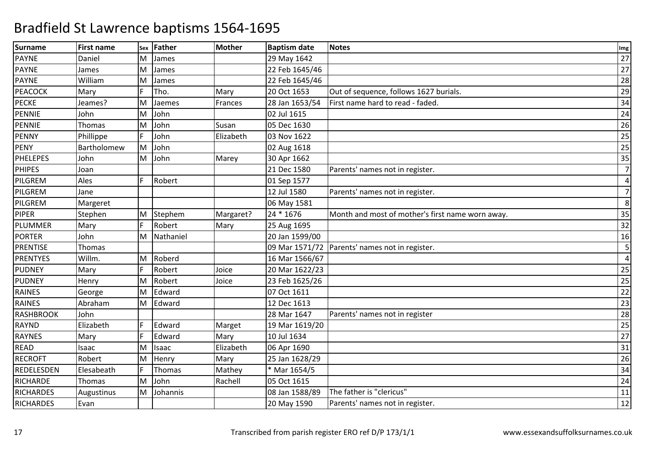| <b>Surname</b>   | <b>First name</b> | <b>Sex</b> | Father    | Mother    | <b>Baptism date</b> | <b>Notes</b>                                     | Img            |
|------------------|-------------------|------------|-----------|-----------|---------------------|--------------------------------------------------|----------------|
| <b>PAYNE</b>     | Daniel            | M          | James     |           | 29 May 1642         |                                                  | 27             |
| <b>PAYNE</b>     | James             | M          | James     |           | 22 Feb 1645/46      |                                                  | 27             |
| <b>PAYNE</b>     | William           | M          | James     |           | 22 Feb 1645/46      |                                                  | 28             |
| <b>PEACOCK</b>   | Mary              |            | Tho.      | Mary      | 20 Oct 1653         | Out of sequence, follows 1627 burials.           | 29             |
| <b>PECKE</b>     | Jeames?           | M          | Jaemes    | Frances   | 28 Jan 1653/54      | First name hard to read - faded.                 | 34             |
| <b>PENNIE</b>    | John              | M          | John      |           | 02 Jul 1615         |                                                  | 24             |
| <b>PENNIE</b>    | Thomas            | M          | John      | Susan     | 05 Dec 1630         |                                                  | 26             |
| <b>PENNY</b>     | Phillippe         |            | John      | Elizabeth | 03 Nov 1622         |                                                  | 25             |
| <b>PENY</b>      | Bartholomew       | İΜ         | John      |           | 02 Aug 1618         |                                                  | 25             |
| <b>PHELEPES</b>  | John              | M          | John      | Marey     | 30 Apr 1662         |                                                  | 35             |
| <b>PHIPES</b>    | Joan              |            |           |           | 21 Dec 1580         | Parents' names not in register.                  | $\overline{7}$ |
| PILGREM          | Ales              | F          | Robert    |           | 01 Sep 1577         |                                                  | 4              |
| PILGREM          | Jane              |            |           |           | 12 Jul 1580         | Parents' names not in register.                  | $\overline{7}$ |
| PILGREM          | Margeret          |            |           |           | 06 May 1581         |                                                  | 8              |
| <b>PIPER</b>     | Stephen           | M          | Stephem   | Margaret? | 24 * 1676           | Month and most of mother's first name worn away. | 35             |
| <b>PLUMMER</b>   | Mary              | F          | Robert    | Mary      | 25 Aug 1695         |                                                  | 32             |
| <b>PORTER</b>    | John              | M          | Nathaniel |           | 20 Jan 1599/00      |                                                  | 16             |
| <b>PRENTISE</b>  | Thomas            |            |           |           |                     | 09 Mar 1571/72 Parents' names not in register.   | 5              |
| <b>PRENTYES</b>  | Willm.            | M          | Roberd    |           | 16 Mar 1566/67      |                                                  | $\overline{4}$ |
| <b>PUDNEY</b>    | Mary              | F          | Robert    | Joice     | 20 Mar 1622/23      |                                                  | 25             |
| <b>PUDNEY</b>    | Henry             | M          | Robert    | Joice     | 23 Feb 1625/26      |                                                  | 25             |
| <b>RAINES</b>    | George            | M          | Edward    |           | 07 Oct 1611         |                                                  | 22             |
| <b>RAINES</b>    | Abraham           | M          | Edward    |           | 12 Dec 1613         |                                                  | 23             |
| <b>RASHBROOK</b> | John              |            |           |           | 28 Mar 1647         | Parents' names not in register                   | 28             |
| <b>RAYND</b>     | Elizabeth         | F          | Edward    | Marget    | 19 Mar 1619/20      |                                                  | 25             |
| <b>RAYNES</b>    | Mary              |            | Edward    | Mary      | 10 Jul 1634         |                                                  | 27             |
| READ             | Isaac             | M          | Isaac     | Elizabeth | 06 Apr 1690         |                                                  | 31             |
| <b>RECROFT</b>   | Robert            | M          | Henry     | Mary      | 25 Jan 1628/29      |                                                  | 26             |
| REDELESDEN       | Elesabeath        | F          | Thomas    | Mathey    | * Mar 1654/5        |                                                  | 34             |
| RICHARDE         | Thomas            | M          | John      | Rachell   | 05 Oct 1615         |                                                  | 24             |
| <b>RICHARDES</b> | Augustinus        | M          | Johannis  |           | 08 Jan 1588/89      | The father is "clericus"                         | 11             |
| <b>RICHARDES</b> | Evan              |            |           |           | 20 May 1590         | Parents' names not in register.                  | 12             |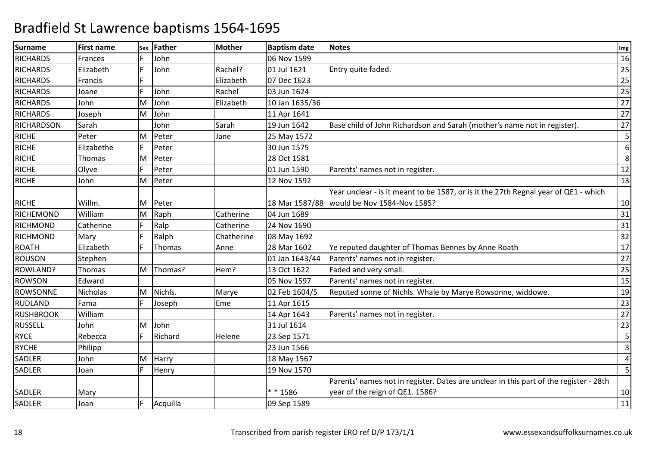| <b>Surname</b>    | <b>First name</b> |    | sex Father | <b>Mother</b> | <b>Baptism date</b> | <b>Notes</b>                                                                          | Img             |
|-------------------|-------------------|----|------------|---------------|---------------------|---------------------------------------------------------------------------------------|-----------------|
| <b>RICHARDS</b>   | Frances           | F  | John       |               | 06 Nov 1599         |                                                                                       | 16              |
| <b>RICHARDS</b>   | Elizabeth         | F  | John       | Rachel?       | 01 Jul 1621         | Entry quite faded.                                                                    | 25              |
| <b>RICHARDS</b>   | Francis           |    |            | Elizabeth     | 07 Dec 1623         |                                                                                       | 25              |
| <b>RICHARDS</b>   | Joane             |    | John       | Rachel        | 03 Jun 1624         |                                                                                       | 25              |
| <b>RICHARDS</b>   | John              | M  | John       | Elizabeth     | 10 Jan 1635/36      |                                                                                       | 27              |
| <b>RICHARDS</b>   | Joseph            | M  | John       |               | 11 Apr 1641         |                                                                                       | 27              |
| <b>RICHARDSON</b> | Sarah             |    | John       | Sarah         | 19 Jun 1642         | Base child of John Richardson and Sarah (mother's name not in register).              | 27              |
| <b>RICHE</b>      | Peter             | M  | Peter      | Jane          | 25 May 1572         |                                                                                       | 5               |
| <b>RICHE</b>      | Elizabethe        | F  | Peter      |               | 30 Jun 1575         |                                                                                       | 6               |
| <b>RICHE</b>      | Thomas            | M  | Peter      |               | 28 Oct 1581         |                                                                                       | 8               |
| <b>RICHE</b>      | Olyve             | F  | Peter      |               | 01 Jun 1590         | Parents' names not in register.                                                       | 12              |
| <b>RICHE</b>      | John              | M  | Peter      |               | 12 Nov 1592         |                                                                                       | 13              |
|                   |                   |    |            |               |                     | Year unclear - is it meant to be 1587, or is it the 27th Regnal year of QE1 - which   |                 |
| <b>RICHE</b>      | Willm.            | ΙM | Peter      |               |                     | 18 Mar 1587/88   would be Nov 1584-Nov 1585?                                          | 10              |
| <b>RICHEMOND</b>  | William           | M  | Raph       | Catherine     | 04 Jun 1689         |                                                                                       | 31              |
| <b>RICHMOND</b>   | Catherine         | F  | Ralp       | Catherine     | 24 Nov 1690         |                                                                                       | 31              |
| <b>RICHMOND</b>   | Mary              | E  | Ralph      | Chatherine    | 08 May 1692         |                                                                                       | 32              |
| <b>ROATH</b>      | Elizabeth         | F  | Thomas     | Anne          | 28 Mar 1602         | Ye reputed daughter of Thomas Bennes by Anne Roath                                    | 17              |
| <b>ROUSON</b>     | Stephen           |    |            |               | 01 Jan 1643/44      | Parents' names not in register.                                                       | 27              |
| <b>ROWLAND?</b>   | Thomas            | M  | Thomas?    | Hem?          | 13 Oct 1622         | Faded and very small.                                                                 | 25              |
| <b>ROWSON</b>     | Edward            |    |            |               | 05 Nov 1597         | Parents' names not in register.                                                       | $\overline{15}$ |
| <b>ROWSONNE</b>   | Nicholas          | M  | Nichls.    | Marye         | 02 Feb 1604/5       | Reputed sonne of Nichls. Whale by Marye Rowsonne, widdowe.                            | 19              |
| <b>RUDLAND</b>    | Fama              |    | Joseph     | Eme           | 11 Apr 1615         |                                                                                       | 23              |
| <b>RUSHBROOK</b>  | William           |    |            |               | 14 Apr 1643         | Parents' names not in register.                                                       | 27              |
| <b>RUSSELL</b>    | John              | M  | John       |               | 31 Jul 1614         |                                                                                       | 23              |
| <b>RYCE</b>       | Rebecca           | F  | Richard    | Helene        | 23 Sep 1571         |                                                                                       | 5               |
| <b>RYCHE</b>      | Philipp           |    |            |               | 23 Jun 1566         |                                                                                       | $\overline{3}$  |
| <b>SADLER</b>     | John              | M  | Harry      |               | 18 May 1567         |                                                                                       | $\overline{4}$  |
| <b>SADLER</b>     | Joan              | F  | Henry      |               | 19 Nov 1570         |                                                                                       | 5               |
|                   |                   |    |            |               |                     | Parents' names not in register. Dates are unclear in this part of the register - 28th |                 |
| <b>SADLER</b>     | Mary              |    |            |               | ** 1586             | year of the reign of QE1. 1586?                                                       | 10              |
| SADLER            | Joan              | F  | Acquilla   |               | 09 Sep 1589         |                                                                                       | 11              |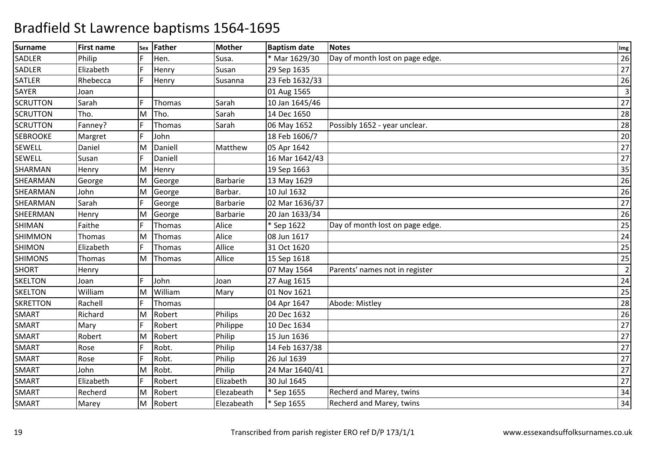| <b>Surname</b>  | <b>First name</b> | Sex | Father        | <b>Mother</b> | <b>Baptism date</b> | <b>Notes</b>                    | Img            |
|-----------------|-------------------|-----|---------------|---------------|---------------------|---------------------------------|----------------|
| SADLER          | Philip            |     | Hen.          | Susa.         | * Mar 1629/30       | Day of month lost on page edge. | 26             |
| SADLER          | Elizabeth         | F.  | Henry         | Susan         | 29 Sep 1635         |                                 | 27             |
| <b>SATLER</b>   | Rhebecca          | F   | Henry         | Susanna       | 23 Feb 1632/33      |                                 | 26             |
| SAYER           | Joan              |     |               |               | 01 Aug 1565         |                                 | $\overline{3}$ |
| <b>SCRUTTON</b> | Sarah             |     | Thomas        | Sarah         | 10 Jan 1645/46      |                                 | 27             |
| <b>SCRUTTON</b> | Tho.              | M   | Tho.          | Sarah         | 14 Dec 1650         |                                 | 28             |
| <b>SCRUTTON</b> | Fanney?           | F   | <b>Thomas</b> | Sarah         | 06 May 1652         | Possibly 1652 - year unclear.   | 28             |
| <b>SEBROOKE</b> | Margret           | F   | John          |               | 18 Feb 1606/7       |                                 | 20             |
| <b>SEWELL</b>   | Daniel            | M   | Daniell       | Matthew       | 05 Apr 1642         |                                 | 27             |
| <b>SEWELL</b>   | Susan             | F.  | Daniell       |               | 16 Mar 1642/43      |                                 | 27             |
| SHARMAN         | Henry             | M   | Henry         |               | 19 Sep 1663         |                                 | 35             |
| SHEARMAN        | George            | M   | George        | Barbarie      | 13 May 1629         |                                 | 26             |
| SHEARMAN        | John              | M   | George        | Barbar.       | 10 Jul 1632         |                                 | 26             |
| SHEARMAN        | Sarah             | F   | George        | Barbarie      | 02 Mar 1636/37      |                                 | 27             |
| SHEERMAN        | Henry             | M   | George        | Barbarie      | 20 Jan 1633/34      |                                 | 26             |
| SHIMAN          | Faithe            | F.  | Thomas        | Alice         | * Sep 1622          | Day of month lost on page edge. | 25             |
| <b>SHIMMON</b>  | Thomas            | M   | Thomas        | Alice         | 08 Jun 1617         |                                 | 24             |
| <b>SHIMON</b>   | Elizabeth         | F   | Thomas        | Allice        | 31 Oct 1620         |                                 | 25             |
| <b>SHIMONS</b>  | Thomas            | M   | Thomas        | Allice        | 15 Sep 1618         |                                 | 25             |
| <b>SHORT</b>    | Henry             |     |               |               | 07 May 1564         | Parents' names not in register  | $\overline{2}$ |
| <b>SKELTON</b>  | Joan              |     | John          | Joan          | 27 Aug 1615         |                                 | 24             |
| <b>SKELTON</b>  | William           | M   | William       | Mary          | 01 Nov 1621         |                                 | 25             |
| <b>SKRETTON</b> | Rachell           | F   | <b>Thomas</b> |               | 04 Apr 1647         | Abode: Mistley                  | 28             |
| <b>SMART</b>    | Richard           | M   | Robert        | Philips       | 20 Dec 1632         |                                 | 26             |
| <b>SMART</b>    | Mary              |     | Robert        | Philippe      | 10 Dec 1634         |                                 | 27             |
| <b>SMART</b>    | Robert            | M   | Robert        | Philip        | 15 Jun 1636         |                                 | 27             |
| <b>SMART</b>    | Rose              | F   | Robt.         | Philip        | 14 Feb 1637/38      |                                 | 27             |
| <b>SMART</b>    | Rose              | F   | Robt.         | Philip        | 26 Jul 1639         |                                 | 27             |
| <b>SMART</b>    | John              | M   | Robt.         | Philip        | 24 Mar 1640/41      |                                 | 27             |
| SMART           | Elizabeth         | F   | Robert        | Elizabeth     | 30 Jul 1645         |                                 | 27             |
| <b>SMART</b>    | Recherd           | M   | Robert        | Elezabeath    | * Sep 1655          | Recherd and Marey, twins        | 34             |
| SMART           | Marey             | M   | Robert        | Elezabeath    | * Sep 1655          | Recherd and Marey, twins        | 34             |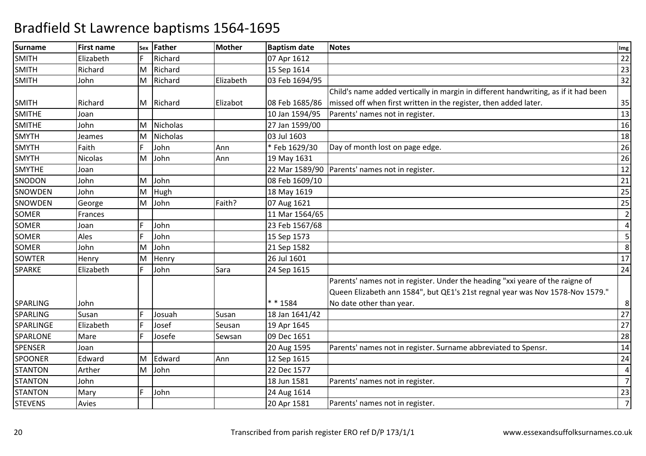| <b>Surname</b>  | <b>First name</b> | Sex | Father          | Mother    | <b>Baptism date</b> | <b>Notes</b>                                                                        | Img             |
|-----------------|-------------------|-----|-----------------|-----------|---------------------|-------------------------------------------------------------------------------------|-----------------|
| <b>SMITH</b>    | Elizabeth         |     | Richard         |           | 07 Apr 1612         |                                                                                     | 22              |
| <b>SMITH</b>    | Richard           | M   | Richard         |           | 15 Sep 1614         |                                                                                     | 23              |
| <b>SMITH</b>    | John              | M   | Richard         | Elizabeth | 03 Feb 1694/95      |                                                                                     | 32              |
|                 |                   |     |                 |           |                     | Child's name added vertically in margin in different handwriting, as if it had been |                 |
| <b>SMITH</b>    | Richard           |     | M Richard       | Elizabot  | 08 Feb 1685/86      | missed off when first written in the register, then added later.                    | 35              |
| <b>SMITHE</b>   | Joan              |     |                 |           | 10 Jan 1594/95      | Parents' names not in register.                                                     | $\overline{13}$ |
| <b>SMITHE</b>   | John              | M   | Nicholas        |           | 27 Jan 1599/00      |                                                                                     | 16              |
| <b>SMYTH</b>    | Jeames            | M   | <b>Nicholas</b> |           | 03 Jul 1603         |                                                                                     | 18              |
| <b>SMYTH</b>    | Faith             | F   | John            | Ann       | *Feb 1629/30        | Day of month lost on page edge.                                                     | 26              |
| <b>SMYTH</b>    | <b>Nicolas</b>    | M   | John            | Ann       | 19 May 1631         |                                                                                     | 26              |
| <b>SMYTHE</b>   | Joan              |     |                 |           | 22 Mar 1589/90      | Parents' names not in register.                                                     | 12              |
| SNODON          | John              | M   | John            |           | 08 Feb 1609/10      |                                                                                     | 21              |
| <b>SNOWDEN</b>  | John              | M   | Hugh            |           | 18 May 1619         |                                                                                     | 25              |
| SNOWDEN         | George            | M   | John            | Faith?    | 07 Aug 1621         |                                                                                     | 25              |
| <b>SOMER</b>    | Frances           |     |                 |           | 11 Mar 1564/65      |                                                                                     | $\overline{2}$  |
| SOMER           | Joan              |     | John            |           | 23 Feb 1567/68      |                                                                                     | 4               |
| <b>SOMER</b>    | Ales              |     | John            |           | 15 Sep 1573         |                                                                                     | 5               |
| <b>SOMER</b>    | John              | M   | John            |           | 21 Sep 1582         |                                                                                     | 8               |
| <b>SOWTER</b>   | Henry             | M   | Henry           |           | 26 Jul 1601         |                                                                                     | 17              |
| <b>SPARKE</b>   | Elizabeth         |     | John            | Sara      | 24 Sep 1615         |                                                                                     | 24              |
|                 |                   |     |                 |           |                     | Parents' names not in register. Under the heading "xxi yeare of the raigne of       |                 |
|                 |                   |     |                 |           |                     | Queen Elizabeth ann 1584", but QE1's 21st regnal year was Nov 1578-Nov 1579."       |                 |
| <b>SPARLING</b> | John              |     |                 |           | $* * 1584$          | No date other than year.                                                            | 8               |
| <b>SPARLING</b> | Susan             |     | Josuah          | Susan     | 18 Jan 1641/42      |                                                                                     | 27              |
| SPARLINGE       | Elizabeth         |     | Josef           | Seusan    | 19 Apr 1645         |                                                                                     | 27              |
| SPARLONE        | Mare              |     | Josefe          | Sewsan    | 09 Dec 1651         |                                                                                     | 28              |
| <b>SPENSER</b>  | Joan              |     |                 |           | 20 Aug 1595         | Parents' names not in register. Surname abbreviated to Spensr.                      | 14              |
| <b>SPOONER</b>  | Edward            | M   | Edward          | Ann       | 12 Sep 1615         |                                                                                     | 24              |
| <b>STANTON</b>  | Arther            | M   | John            |           | 22 Dec 1577         |                                                                                     | 4               |
| <b>STANTON</b>  | John              |     |                 |           | 18 Jun 1581         | Parents' names not in register.                                                     | $\overline{7}$  |
| <b>STANTON</b>  | Mary              |     | John            |           | 24 Aug 1614         |                                                                                     | 23              |
| <b>STEVENS</b>  | Avies             |     |                 |           | 20 Apr 1581         | Parents' names not in register.                                                     | $\overline{7}$  |
|                 |                   |     |                 |           |                     |                                                                                     |                 |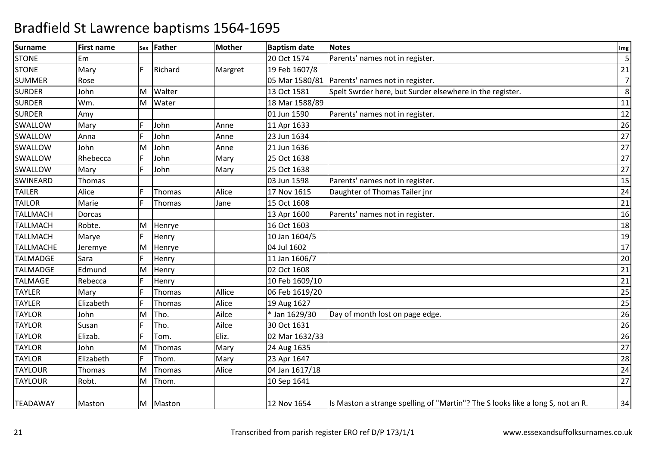| <b>Surname</b>   | <b>First name</b> |     | sex Father | Mother  | <b>Baptism date</b> | <b>Notes</b>                                                                   | Img            |
|------------------|-------------------|-----|------------|---------|---------------------|--------------------------------------------------------------------------------|----------------|
| <b>STONE</b>     | Em                |     |            |         | 20 Oct 1574         | Parents' names not in register.                                                | 5              |
| <b>STONE</b>     | Mary              | E   | Richard    | Margret | 19 Feb 1607/8       |                                                                                | 21             |
| <b>SUMMER</b>    | Rose              |     |            |         |                     | 05 Mar 1580/81   Parents' names not in register.                               | $\overline{7}$ |
| <b>SURDER</b>    | John              | M   | Walter     |         | 13 Oct 1581         | Spelt Swrder here, but Surder elsewhere in the register.                       | 8              |
| <b>SURDER</b>    | Wm.               | M   | Water      |         | 18 Mar 1588/89      |                                                                                | 11             |
| <b>SURDER</b>    | Amy               |     |            |         | 01 Jun 1590         | Parents' names not in register.                                                | 12             |
| SWALLOW          | Mary              |     | John       | Anne    | 11 Apr 1633         |                                                                                | 26             |
| SWALLOW          | Anna              |     | John       | Anne    | 23 Jun 1634         |                                                                                | 27             |
| SWALLOW          | John              | ΙM  | John       | Anne    | 21 Jun 1636         |                                                                                | 27             |
| SWALLOW          | Rhebecca          | IF. | John       | Mary    | 25 Oct 1638         |                                                                                | 27             |
| SWALLOW          | Mary              | F   | John       | Mary    | 25 Oct 1638         |                                                                                | 27             |
| SWINEARD         | Thomas            |     |            |         | 03 Jun 1598         | Parents' names not in register.                                                | 15             |
| <b>TAILER</b>    | Alice             | F   | Thomas     | Alice   | 17 Nov 1615         | Daughter of Thomas Tailer jnr                                                  | 24             |
| <b>TAILOR</b>    | Marie             | IF. | Thomas     | Jane    | 15 Oct 1608         |                                                                                | 21             |
| <b>TALLMACH</b>  | Dorcas            |     |            |         | 13 Apr 1600         | Parents' names not in register.                                                | 16             |
| <b>TALLMACH</b>  | Robte.            | M   | Henrye     |         | 16 Oct 1603         |                                                                                | 18             |
| <b>TALLMACH</b>  | Marye             | F   | Henry      |         | 10 Jan 1604/5       |                                                                                | 19             |
| <b>TALLMACHE</b> | Jeremye           | M   | Henrye     |         | 04 Jul 1602         |                                                                                | 17             |
| <b>TALMADGE</b>  | Sara              |     | Henry      |         | 11 Jan 1606/7       |                                                                                | 20             |
| <b>TALMADGE</b>  | Edmund            | M   | Henry      |         | 02 Oct 1608         |                                                                                | 21             |
| <b>TALMAGE</b>   | Rebecca           | F   | Henry      |         | 10 Feb 1609/10      |                                                                                | 21             |
| <b>TAYLER</b>    | Mary              | F   | Thomas     | Allice  | 06 Feb 1619/20      |                                                                                | 25             |
| <b>TAYLER</b>    | Elizabeth         |     | Thomas     | Alice   | 19 Aug 1627         |                                                                                | 25             |
| <b>TAYLOR</b>    | John              | M   | Tho.       | Ailce   | * Jan 1629/30       | Day of month lost on page edge.                                                | 26             |
| <b>TAYLOR</b>    | Susan             | E   | Tho.       | Ailce   | 30 Oct 1631         |                                                                                | 26             |
| <b>TAYLOR</b>    | Elizab.           | lF. | Tom.       | Eliz.   | 02 Mar 1632/33      |                                                                                | 26             |
| <b>TAYLOR</b>    | John              | ΙM  | Thomas     | Mary    | 24 Aug 1635         |                                                                                | 27             |
| <b>TAYLOR</b>    | Elizabeth         | E   | Thom.      | Mary    | 23 Apr 1647         |                                                                                | 28             |
| <b>TAYLOUR</b>   | Thomas            | M   | Thomas     | Alice   | 04 Jan 1617/18      |                                                                                | 24             |
| <b>TAYLOUR</b>   | Robt.             | M   | Thom.      |         | 10 Sep 1641         |                                                                                | 27             |
| <b>TEADAWAY</b>  | Maston            |     | M Maston   |         | 12 Nov 1654         | Is Maston a strange spelling of "Martin"? The S looks like a long S, not an R. | 34             |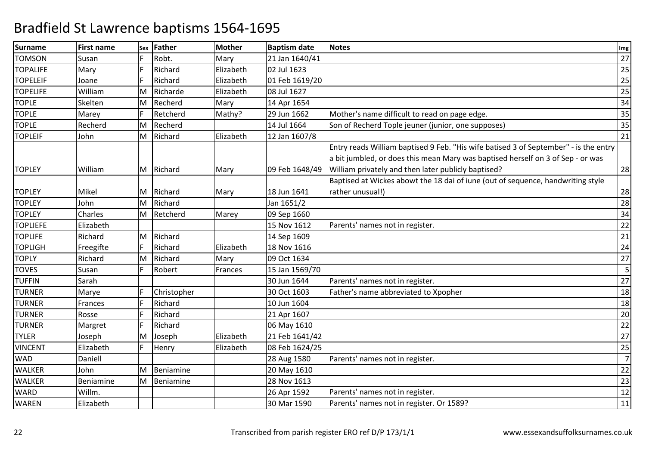| <b>Surname</b>  | <b>First name</b> | Sex | Father      | <b>Mother</b> | <b>Baptism date</b> | <b>Notes</b>                                                                         | Img |
|-----------------|-------------------|-----|-------------|---------------|---------------------|--------------------------------------------------------------------------------------|-----|
| <b>TOMSON</b>   | Susan             |     | Robt.       | Mary          | 21 Jan 1640/41      |                                                                                      | 27  |
| <b>TOPALIFE</b> | Mary              |     | Richard     | Elizabeth     | 02 Jul 1623         |                                                                                      | 25  |
| <b>TOPELEIF</b> | Joane             | F   | Richard     | Elizabeth     | 01 Feb 1619/20      |                                                                                      | 25  |
| <b>TOPELIFE</b> | William           | M   | Richarde    | Elizabeth     | 08 Jul 1627         |                                                                                      | 25  |
| <b>TOPLE</b>    | Skelten           | M   | Recherd     | Mary          | 14 Apr 1654         |                                                                                      | 34  |
| <b>TOPLE</b>    | Marey             | F   | Retcherd    | Mathy?        | 29 Jun 1662         | Mother's name difficult to read on page edge.                                        | 35  |
| <b>TOPLE</b>    | Recherd           | M   | Recherd     |               | 14 Jul 1664         | Son of Recherd Tople jeuner (junior, one supposes)                                   | 35  |
| <b>TOPLEIF</b>  | John              | M   | Richard     | Elizabeth     | 12 Jan 1607/8       |                                                                                      | 21  |
|                 |                   |     |             |               |                     | Entry reads William baptised 9 Feb. "His wife batised 3 of September" - is the entry |     |
|                 |                   |     |             |               |                     | a bit jumbled, or does this mean Mary was baptised herself on 3 of Sep - or was      |     |
| <b>TOPLEY</b>   | William           | М   | Richard     | Mary          | 09 Feb 1648/49      | William privately and then later publicly baptised?                                  | 28  |
|                 |                   |     |             |               |                     | Baptised at Wickes abowt the 18 dai of iune (out of sequence, handwriting style      |     |
| <b>TOPLEY</b>   | Mikel             | м   | Richard     | Mary          | 18 Jun 1641         | rather unusual!)                                                                     | 28  |
| <b>TOPLEY</b>   | John              | M   | Richard     |               | Jan 1651/2          |                                                                                      | 28  |
| <b>TOPLEY</b>   | Charles           | M   | Retcherd    | Marey         | 09 Sep 1660         |                                                                                      | 34  |
| <b>TOPLIEFE</b> | Elizabeth         |     |             |               | 15 Nov 1612         | Parents' names not in register.                                                      | 22  |
| <b>TOPLIFE</b>  | Richard           | M   | Richard     |               | 14 Sep 1609         |                                                                                      | 21  |
| <b>TOPLIGH</b>  | Freegifte         | F   | Richard     | Elizabeth     | 18 Nov 1616         |                                                                                      | 24  |
| <b>TOPLY</b>    | Richard           | M   | Richard     | Mary          | 09 Oct 1634         |                                                                                      | 27  |
| <b>TOVES</b>    | Susan             |     | Robert      | Frances       | 15 Jan 1569/70      |                                                                                      | 5   |
| <b>TUFFIN</b>   | Sarah             |     |             |               | 30 Jun 1644         | Parents' names not in register.                                                      | 27  |
| <b>TURNER</b>   | Marye             | F   | Christopher |               | 30 Oct 1603         | Father's name abbreviated to Xpopher                                                 | 18  |
| <b>TURNER</b>   | Frances           | F   | Richard     |               | 10 Jun 1604         |                                                                                      | 18  |
| <b>TURNER</b>   | Rosse             |     | Richard     |               | 21 Apr 1607         |                                                                                      | 20  |
| <b>TURNER</b>   | Margret           | F   | Richard     |               | 06 May 1610         |                                                                                      | 22  |
| <b>TYLER</b>    | Joseph            | M   | Joseph      | Elizabeth     | 21 Feb 1641/42      |                                                                                      | 27  |
| <b>VINCENT</b>  | Elizabeth         | F   | Henry       | Elizabeth     | 08 Feb 1624/25      |                                                                                      | 25  |
| <b>WAD</b>      | Daniell           |     |             |               | 28 Aug 1580         | Parents' names not in register.                                                      |     |
| <b>WALKER</b>   | John              | M   | Beniamine   |               | 20 May 1610         |                                                                                      | 22  |
| <b>WALKER</b>   | Beniamine         | M   | Beniamine   |               | 28 Nov 1613         |                                                                                      | 23  |
| <b>WARD</b>     | Willm.            |     |             |               | 26 Apr 1592         | Parents' names not in register.                                                      | 12  |
| <b>WAREN</b>    | Elizabeth         |     |             |               | 30 Mar 1590         | Parents' names not in register. Or 1589?                                             | 11  |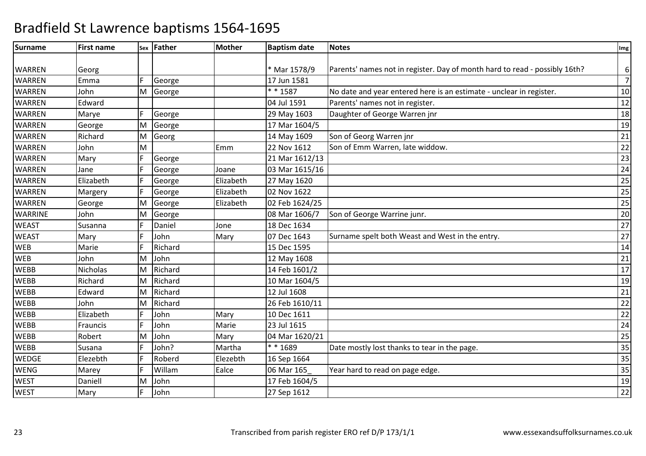| <b>Surname</b> | <b>First name</b> |   | sex Father | <b>Mother</b> | <b>Baptism date</b> | <b>Notes</b>                                                               | Img             |
|----------------|-------------------|---|------------|---------------|---------------------|----------------------------------------------------------------------------|-----------------|
|                |                   |   |            |               |                     |                                                                            |                 |
| <b>WARREN</b>  | Georg             |   |            |               | * Mar 1578/9        | Parents' names not in register. Day of month hard to read - possibly 16th? | 6               |
| <b>WARREN</b>  | Emma              |   | George     |               | 17 Jun 1581         |                                                                            | $\overline{7}$  |
| <b>WARREN</b>  | John              | M | George     |               | $* * 1587$          | No date and year entered here is an estimate - unclear in register.        | 10              |
| <b>WARREN</b>  | Edward            |   |            |               | 04 Jul 1591         | Parents' names not in register.                                            | 12              |
| <b>WARREN</b>  | Marye             |   | George     |               | 29 May 1603         | Daughter of George Warren jnr                                              | 18              |
| <b>WARREN</b>  | George            | M | George     |               | 17 Mar 1604/5       |                                                                            | 19              |
| <b>WARREN</b>  | Richard           | M | Georg      |               | 14 May 1609         | Son of Georg Warren jnr                                                    | 21              |
| <b>WARREN</b>  | John              | M |            | Emm           | 22 Nov 1612         | Son of Emm Warren, late widdow.                                            | 22              |
| <b>WARREN</b>  | Mary              | F | George     |               | 21 Mar 1612/13      |                                                                            | 23              |
| <b>WARREN</b>  | Jane              | F | George     | Joane         | 03 Mar 1615/16      |                                                                            | 24              |
| <b>WARREN</b>  | Elizabeth         |   | George     | Elizabeth     | 27 May 1620         |                                                                            | $\overline{25}$ |
| <b>WARREN</b>  | Margery           |   | George     | Elizabeth     | 02 Nov 1622         |                                                                            | 25              |
| <b>WARREN</b>  | George            | M | George     | Elizabeth     | 02 Feb 1624/25      |                                                                            | 25              |
| <b>WARRINE</b> | John              | M | George     |               | 08 Mar 1606/7       | Son of George Warrine junr.                                                | $\overline{20}$ |
| <b>WEAST</b>   | Susanna           |   | Daniel     | Jone          | 18 Dec 1634         |                                                                            | 27              |
| <b>WEAST</b>   | Mary              | F | John       | Mary          | 07 Dec 1643         | Surname spelt both Weast and West in the entry.                            | 27              |
| <b>WEB</b>     | Marie             |   | Richard    |               | 15 Dec 1595         |                                                                            | 14              |
| <b>WEB</b>     | John              | M | John       |               | 12 May 1608         |                                                                            | 21              |
| <b>WEBB</b>    | Nicholas          | M | Richard    |               | 14 Feb 1601/2       |                                                                            | 17              |
| <b>WEBB</b>    | Richard           | M | Richard    |               | 10 Mar 1604/5       |                                                                            | 19              |
| <b>WEBB</b>    | Edward            | M | Richard    |               | 12 Jul 1608         |                                                                            | 21              |
| <b>WEBB</b>    | John              | M | Richard    |               | 26 Feb 1610/11      |                                                                            | $\overline{22}$ |
| <b>WEBB</b>    | Elizabeth         |   | John       | Mary          | 10 Dec 1611         |                                                                            | 22              |
| <b>WEBB</b>    | Frauncis          |   | John       | Marie         | 23 Jul 1615         |                                                                            | 24              |
| <b>WEBB</b>    | Robert            | M | John       | Mary          | 04 Mar 1620/21      |                                                                            | 25              |
| <b>WEBB</b>    | Susana            |   | John?      | Martha        | ** 1689             | Date mostly lost thanks to tear in the page.                               | 35              |
| <b>WEDGE</b>   | Elezebth          | F | Roberd     | Elezebth      | 16 Sep 1664         |                                                                            | 35              |
| <b>WENG</b>    | Marey             |   | Willam     | Ealce         | 06 Mar 165          | Year hard to read on page edge.                                            | 35              |
| <b>WEST</b>    | Daniell           | М | John       |               | 17 Feb 1604/5       |                                                                            | 19              |
| <b>WEST</b>    | Mary              | F | John       |               | 27 Sep 1612         |                                                                            | $\overline{22}$ |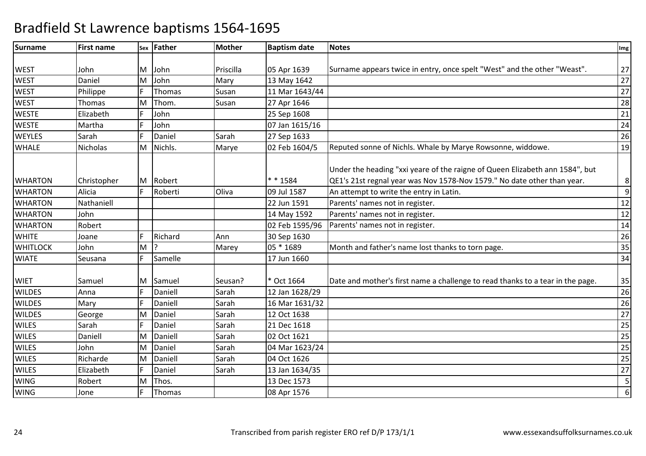| <b>Surname</b>  | <b>First name</b> |   | sex Father | <b>Mother</b> | <b>Baptism date</b> | <b>Notes</b>                                                                                                                                            | Img              |
|-----------------|-------------------|---|------------|---------------|---------------------|---------------------------------------------------------------------------------------------------------------------------------------------------------|------------------|
|                 |                   |   |            |               |                     |                                                                                                                                                         |                  |
| <b>WEST</b>     | John              | М | John       | Priscilla     | 05 Apr 1639         | Surname appears twice in entry, once spelt "West" and the other "Weast".                                                                                | 27               |
| <b>WEST</b>     | Daniel            | M | John       | Mary          | 13 May 1642         |                                                                                                                                                         | 27               |
| <b>WEST</b>     | Philippe          | F | Thomas     | Susan         | 11 Mar 1643/44      |                                                                                                                                                         | 27               |
| <b>WEST</b>     | Thomas            | M | Thom.      | Susan         | 27 Apr 1646         |                                                                                                                                                         | 28               |
| <b>WESTE</b>    | Elizabeth         |   | John       |               | 25 Sep 1608         |                                                                                                                                                         | 21               |
| <b>WESTE</b>    | Martha            |   | John       |               | 07 Jan 1615/16      |                                                                                                                                                         | 24               |
| <b>WEYLES</b>   | Sarah             |   | Daniel     | Sarah         | 27 Sep 1633         |                                                                                                                                                         | 26               |
| <b>WHALE</b>    | <b>Nicholas</b>   | M | Nichls.    | Marye         | 02 Feb 1604/5       | Reputed sonne of Nichls. Whale by Marye Rowsonne, widdowe.                                                                                              | 19               |
| <b>WHARTON</b>  | Christopher       | М | Robert     |               | * * 1584            | Under the heading "xxi yeare of the raigne of Queen Elizabeth ann 1584", but<br>QE1's 21st regnal year was Nov 1578-Nov 1579." No date other than year. | 8                |
| <b>WHARTON</b>  | Alicia            |   | Roberti    | Oliva         | 09 Jul 1587         | An attempt to write the entry in Latin.                                                                                                                 | $\boldsymbol{9}$ |
| <b>WHARTON</b>  | Nathaniell        |   |            |               | 22 Jun 1591         | Parents' names not in register.                                                                                                                         | 12               |
| <b>WHARTON</b>  | John              |   |            |               | 14 May 1592         | Parents' names not in register.                                                                                                                         | 12               |
| <b>WHARTON</b>  | Robert            |   |            |               | 02 Feb 1595/96      | Parents' names not in register.                                                                                                                         | 14               |
| <b>WHITE</b>    | Joane             | F | Richard    | Ann           | 30 Sep 1630         |                                                                                                                                                         | 26               |
| <b>WHITLOCK</b> | John              | M |            | Marey         | 05 * 1689           | Month and father's name lost thanks to torn page.                                                                                                       | 35               |
| <b>WIATE</b>    | Seusana           | F | Samelle    |               | 17 Jun 1660         |                                                                                                                                                         | 34               |
| <b>WIET</b>     | Samuel            | M | Samuel     | Seusan?       | * Oct 1664          | Date and mother's first name a challenge to read thanks to a tear in the page.                                                                          | 35               |
| <b>WILDES</b>   | Anna              | F | Daniell    | Sarah         | 12 Jan 1628/29      |                                                                                                                                                         | 26               |
| <b>WILDES</b>   | Mary              | F | Daniell    | Sarah         | 16 Mar 1631/32      |                                                                                                                                                         | 26               |
| <b>WILDES</b>   | George            | M | Daniel     | Sarah         | 12 Oct 1638         |                                                                                                                                                         | 27               |
| <b>WILES</b>    | Sarah             |   | Daniel     | Sarah         | 21 Dec 1618         |                                                                                                                                                         | 25               |
| <b>WILES</b>    | Daniell           | M | Daniell    | Sarah         | 02 Oct 1621         |                                                                                                                                                         | 25               |
| <b>WILES</b>    | John              | M | Daniel     | Sarah         | 04 Mar 1623/24      |                                                                                                                                                         | 25               |
| <b>WILES</b>    | Richarde          | М | Daniell    | Sarah         | 04 Oct 1626         |                                                                                                                                                         | 25               |
| <b>WILES</b>    | Elizabeth         | F | Daniel     | Sarah         | 13 Jan 1634/35      |                                                                                                                                                         | 27               |
| <b>WING</b>     | Robert            | M | Thos.      |               | 13 Dec 1573         |                                                                                                                                                         | 5                |
| <b>WING</b>     | Jone              | F | Thomas     |               | 08 Apr 1576         |                                                                                                                                                         | $\boldsymbol{6}$ |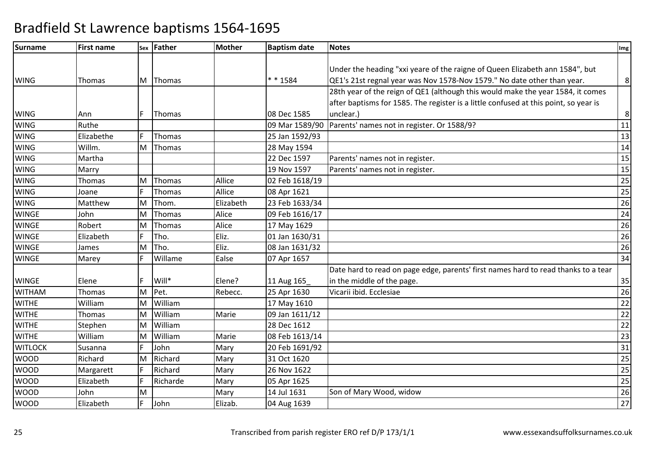| Surname        | <b>First name</b> |   | sex Father    | <b>Mother</b> | <b>Baptism date</b> | <b>Notes</b>                                                                         | Img             |
|----------------|-------------------|---|---------------|---------------|---------------------|--------------------------------------------------------------------------------------|-----------------|
|                |                   |   |               |               |                     |                                                                                      |                 |
|                |                   |   |               |               |                     | Under the heading "xxi yeare of the raigne of Queen Elizabeth ann 1584", but         |                 |
| <b>WING</b>    | Thomas            | M | Thomas        |               | * * 1584            | QE1's 21st regnal year was Nov 1578-Nov 1579." No date other than year.              | 8               |
|                |                   |   |               |               |                     | 28th year of the reign of QE1 (although this would make the year 1584, it comes      |                 |
|                |                   |   |               |               |                     | after baptisms for 1585. The register is a little confused at this point, so year is |                 |
| <b>WING</b>    | Ann               | F | Thomas        |               | 08 Dec 1585         | unclear.)                                                                            | 8               |
| <b>WING</b>    | Ruthe             |   |               |               | 09 Mar 1589/90      | Parents' names not in register. Or 1588/9?                                           | $\overline{11}$ |
| <b>WING</b>    | Elizabethe        |   | Thomas        |               | 25 Jan 1592/93      |                                                                                      | 13              |
| <b>WING</b>    | Willm.            | M | Thomas        |               | 28 May 1594         |                                                                                      | 14              |
| <b>WING</b>    | Martha            |   |               |               | 22 Dec 1597         | Parents' names not in register.                                                      | 15              |
| <b>WING</b>    | Marry             |   |               |               | 19 Nov 1597         | Parents' names not in register.                                                      | $\overline{15}$ |
| <b>WING</b>    | Thomas            | M | Thomas        | Allice        | 02 Feb 1618/19      |                                                                                      | $\overline{25}$ |
| <b>WING</b>    | Joane             | F | <b>Thomas</b> | Allice        | 08 Apr 1621         |                                                                                      | $\overline{25}$ |
| <b>WING</b>    | Matthew           | M | Thom.         | Elizabeth     | 23 Feb 1633/34      |                                                                                      | 26              |
| <b>WINGE</b>   | John              | M | Thomas        | Alice         | 09 Feb 1616/17      |                                                                                      | $\overline{24}$ |
| <b>WINGE</b>   | Robert            | M | Thomas        | Alice         | 17 May 1629         |                                                                                      | $\overline{26}$ |
| <b>WINGE</b>   | Elizabeth         | F | Tho.          | Eliz.         | 01 Jan 1630/31      |                                                                                      | $\overline{26}$ |
| <b>WINGE</b>   | James             | M | Tho.          | Eliz.         | 08 Jan 1631/32      |                                                                                      | $\overline{26}$ |
| <b>WINGE</b>   | Marey             | F | Willame       | Ealse         | 07 Apr 1657         |                                                                                      | 34              |
|                |                   |   |               |               |                     | Date hard to read on page edge, parents' first names hard to read thanks to a tear   |                 |
| <b>WINGE</b>   | Elene             | F | Will*         | Elene?        | 11 Aug 165          | in the middle of the page.                                                           | 35              |
| <b>WITHAM</b>  | Thomas            | M | Pet.          | Rebecc.       | 25 Apr 1630         | Vicarii ibid. Ecclesiae                                                              | 26              |
| <b>WITHE</b>   | William           | M | William       |               | 17 May 1610         |                                                                                      | 22              |
| <b>WITHE</b>   | Thomas            | M | William       | Marie         | 09 Jan 1611/12      |                                                                                      | $\overline{22}$ |
| <b>WITHE</b>   | Stephen           | M | William       |               | 28 Dec 1612         |                                                                                      | 22              |
| <b>WITHE</b>   | William           | M | William       | Marie         | 08 Feb 1613/14      |                                                                                      | 23              |
| <b>WITLOCK</b> | Susanna           | F | John          | Mary          | 20 Feb 1691/92      |                                                                                      | 31              |
| <b>WOOD</b>    | Richard           | M | Richard       | Mary          | 31 Oct 1620         |                                                                                      | 25              |
| <b>WOOD</b>    | Margarett         | F | Richard       | Mary          | 26 Nov 1622         |                                                                                      | $\overline{25}$ |
| <b>WOOD</b>    | Elizabeth         | Е | Richarde      | Mary          | 05 Apr 1625         |                                                                                      | 25              |
| <b>WOOD</b>    | John              | M |               | Mary          | 14 Jul 1631         | Son of Mary Wood, widow                                                              | 26              |
| <b>WOOD</b>    | Elizabeth         | F | John          | Elizab.       | 04 Aug 1639         |                                                                                      | $\overline{27}$ |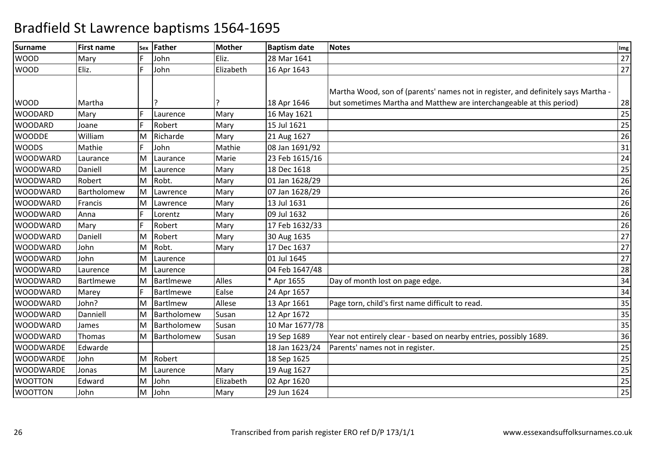| <b>Surname</b>   | First name       | Sex | Father      | <b>Mother</b> | <b>Baptism date</b> | <b>Notes</b>                                                                      | Img |
|------------------|------------------|-----|-------------|---------------|---------------------|-----------------------------------------------------------------------------------|-----|
| <b>WOOD</b>      | Mary             |     | John        | Eliz.         | 28 Mar 1641         |                                                                                   | 27  |
| <b>WOOD</b>      | Eliz.            | F   | John        | Elizabeth     | 16 Apr 1643         |                                                                                   | 27  |
|                  |                  |     |             |               |                     |                                                                                   |     |
|                  |                  |     |             |               |                     | Martha Wood, son of (parents' names not in register, and definitely says Martha - |     |
| <b>WOOD</b>      | Martha           |     |             |               | 18 Apr 1646         | but sometimes Martha and Matthew are interchangeable at this period)              | 28  |
| <b>WOODARD</b>   | Mary             | E   | Laurence    | Mary          | 16 May 1621         |                                                                                   | 25  |
| <b>WOODARD</b>   | Joane            |     | Robert      | Mary          | 15 Jul 1621         |                                                                                   | 25  |
| <b>WOODDE</b>    | William          | M   | Richarde    | Mary          | 21 Aug 1627         |                                                                                   | 26  |
| <b>WOODS</b>     | Mathie           |     | John        | Mathie        | 08 Jan 1691/92      |                                                                                   | 31  |
| <b>WOODWARD</b>  | Laurance         | M   | Laurance    | Marie         | 23 Feb 1615/16      |                                                                                   | 24  |
| <b>WOODWARD</b>  | Daniell          | M   | Laurence    | Mary          | 18 Dec 1618         |                                                                                   | 25  |
| <b>WOODWARD</b>  | Robert           | M   | Robt.       | Mary          | 01 Jan 1628/29      |                                                                                   | 26  |
| <b>WOODWARD</b>  | Bartholomew      | M   | Lawrence    | Mary          | 07 Jan 1628/29      |                                                                                   | 26  |
| <b>WOODWARD</b>  | Francis          | M   | Lawrence    | Mary          | 13 Jul 1631         |                                                                                   | 26  |
| <b>WOODWARD</b>  | Anna             | F   | Lorentz     | Mary          | 09 Jul 1632         |                                                                                   | 26  |
| <b>WOODWARD</b>  | Mary             |     | Robert      | Mary          | 17 Feb 1632/33      |                                                                                   | 26  |
| <b>WOODWARD</b>  | Daniell          | M   | Robert      | Mary          | 30 Aug 1635         |                                                                                   | 27  |
| <b>WOODWARD</b>  | John             | M   | Robt.       | Mary          | 17 Dec 1637         |                                                                                   | 27  |
| <b>WOODWARD</b>  | John             | M   | Laurence    |               | 01 Jul 1645         |                                                                                   | 27  |
| <b>WOODWARD</b>  | Laurence         | м   | Laurence    |               | 04 Feb 1647/48      |                                                                                   | 28  |
| <b>WOODWARD</b>  | <b>BartImewe</b> | M   | BartImewe   | Alles         | * Apr 1655          | Day of month lost on page edge.                                                   | 34  |
| <b>WOODWARD</b>  | Marey            |     | BartImewe   | Ealse         | 24 Apr 1657         |                                                                                   | 34  |
| <b>WOODWARD</b>  | John?            | M   | BartImew    | Allese        | 13 Apr 1661         | Page torn, child's first name difficult to read.                                  | 35  |
| <b>WOODWARD</b>  | Danniell         | M   | Bartholomew | Susan         | 12 Apr 1672         |                                                                                   | 35  |
| <b>WOODWARD</b>  | James            | M   | Bartholomew | Susan         | 10 Mar 1677/78      |                                                                                   | 35  |
| <b>WOODWARD</b>  | Thomas           | м   | Bartholomew | Susan         | 19 Sep 1689         | Year not entirely clear - based on nearby entries, possibly 1689.                 | 36  |
| <b>WOODWARDE</b> | Edwarde          |     |             |               | 18 Jan 1623/24      | Parents' names not in register.                                                   | 25  |
| <b>WOODWARDE</b> | John             | M   | Robert      |               | 18 Sep 1625         |                                                                                   | 25  |
| <b>WOODWARDE</b> | Jonas            | M   | Laurence    | Mary          | 19 Aug 1627         |                                                                                   | 25  |
| <b>WOOTTON</b>   | Edward           | M   | John        | Elizabeth     | 02 Apr 1620         |                                                                                   | 25  |
| <b>WOOTTON</b>   | John             | м   | John        | Mary          | 29 Jun 1624         |                                                                                   | 25  |